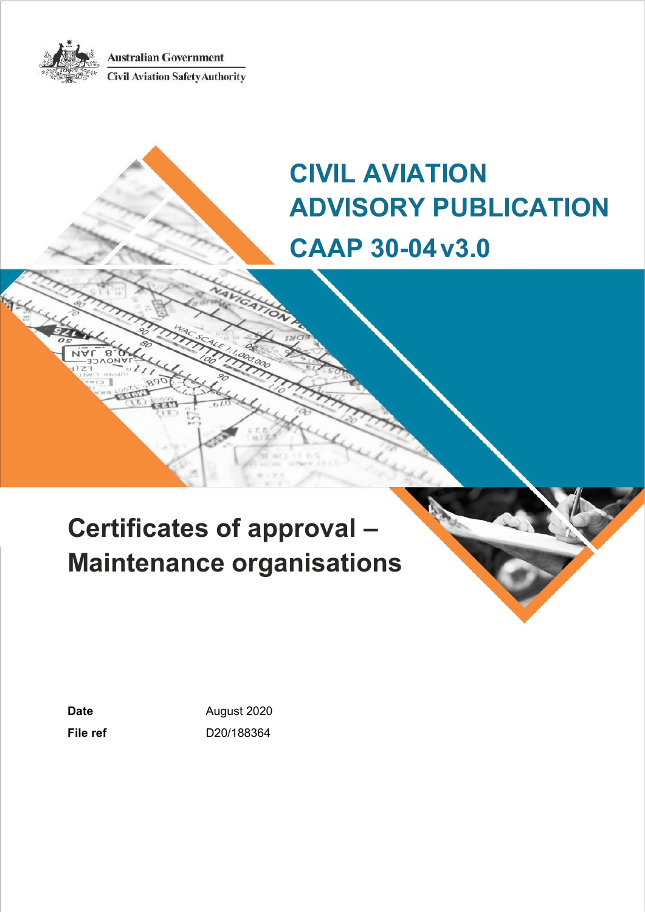**Australian Government** 



**Civil Aviation Safety Authority** 

# **CIVIL AVIATION ADVISORY PUBLICATION CAAP 30-04v3.0**

# **Certificates of approval – Maintenance organisations**

Date **Date August 2020 File ref** D20/188364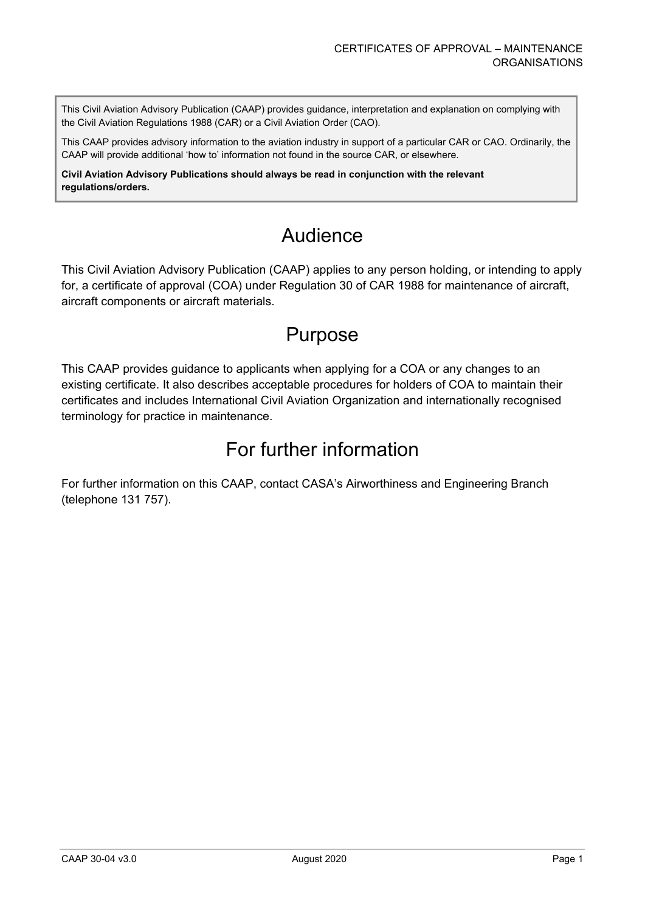This Civil Aviation Advisory Publication (CAAP) provides guidance, interpretation and explanation on complying with the Civil Aviation Regulations 1988 (CAR) or a Civil Aviation Order (CAO).

This CAAP provides advisory information to the aviation industry in support of a particular CAR or CAO. Ordinarily, the CAAP will provide additional 'how to' information not found in the source CAR, or elsewhere.

**Civil Aviation Advisory Publications should always be read in conjunction with the relevant regulations/orders.**

# Audience

This Civil Aviation Advisory Publication (CAAP) applies to any person holding, or intending to apply for, a certificate of approval (COA) under Regulation 30 of CAR 1988 for maintenance of aircraft, aircraft components or aircraft materials.

# Purpose

This CAAP provides guidance to applicants when applying for a COA or any changes to an existing certificate. It also describes acceptable procedures for holders of COA to maintain their certificates and includes International Civil Aviation Organization and internationally recognised terminology for practice in maintenance.

# For further information

For further information on this CAAP, contact CASA's Airworthiness and Engineering Branch (telephone 131 757).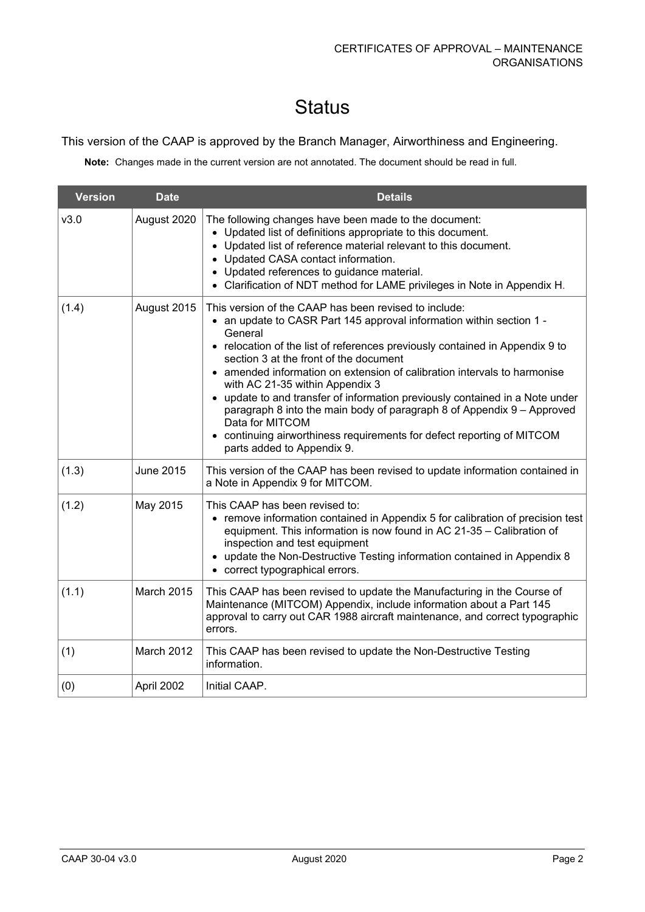# **Status**

### This version of the CAAP is approved by the Branch Manager, Airworthiness and Engineering.

**Note:** Changes made in the current version are not annotated. The document should be read in full.

| <b>Version</b> | <b>Date</b>      | <b>Details</b>                                                                                                                                                                                                                                                                                                                                                                                                                                                                                                                                                                                                                                                         |
|----------------|------------------|------------------------------------------------------------------------------------------------------------------------------------------------------------------------------------------------------------------------------------------------------------------------------------------------------------------------------------------------------------------------------------------------------------------------------------------------------------------------------------------------------------------------------------------------------------------------------------------------------------------------------------------------------------------------|
| v3.0           | August 2020      | The following changes have been made to the document:<br>• Updated list of definitions appropriate to this document.<br>• Updated list of reference material relevant to this document.<br>• Updated CASA contact information.<br>• Updated references to guidance material.<br>• Clarification of NDT method for LAME privileges in Note in Appendix H.                                                                                                                                                                                                                                                                                                               |
| (1.4)          | August 2015      | This version of the CAAP has been revised to include:<br>• an update to CASR Part 145 approval information within section 1 -<br>General<br>• relocation of the list of references previously contained in Appendix 9 to<br>section 3 at the front of the document<br>• amended information on extension of calibration intervals to harmonise<br>with AC 21-35 within Appendix 3<br>• update to and transfer of information previously contained in a Note under<br>paragraph 8 into the main body of paragraph 8 of Appendix 9 – Approved<br>Data for MITCOM<br>• continuing airworthiness requirements for defect reporting of MITCOM<br>parts added to Appendix 9. |
| (1.3)          | <b>June 2015</b> | This version of the CAAP has been revised to update information contained in<br>a Note in Appendix 9 for MITCOM.                                                                                                                                                                                                                                                                                                                                                                                                                                                                                                                                                       |
| (1.2)          | May 2015         | This CAAP has been revised to:<br>• remove information contained in Appendix 5 for calibration of precision test<br>equipment. This information is now found in AC 21-35 - Calibration of<br>inspection and test equipment<br>• update the Non-Destructive Testing information contained in Appendix 8<br>• correct typographical errors.                                                                                                                                                                                                                                                                                                                              |
| (1.1)          | March 2015       | This CAAP has been revised to update the Manufacturing in the Course of<br>Maintenance (MITCOM) Appendix, include information about a Part 145<br>approval to carry out CAR 1988 aircraft maintenance, and correct typographic<br>errors.                                                                                                                                                                                                                                                                                                                                                                                                                              |
| (1)            | March 2012       | This CAAP has been revised to update the Non-Destructive Testing<br>information.                                                                                                                                                                                                                                                                                                                                                                                                                                                                                                                                                                                       |
| (0)            | April 2002       | Initial CAAP.                                                                                                                                                                                                                                                                                                                                                                                                                                                                                                                                                                                                                                                          |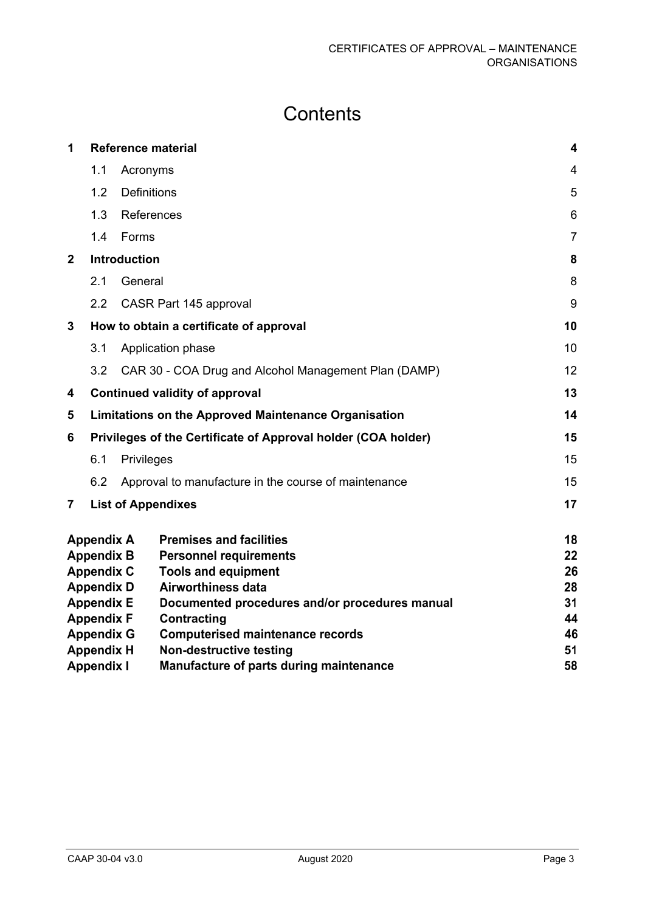# **Contents**

| 1              | <b>Reference material</b> |                    |                                                               | 4              |
|----------------|---------------------------|--------------------|---------------------------------------------------------------|----------------|
|                | 1.1                       | Acronyms           |                                                               | $\overline{4}$ |
|                | 1.2                       | <b>Definitions</b> |                                                               | 5              |
|                | 1.3                       | References         |                                                               | 6              |
|                | 1.4                       | Forms              |                                                               | $\overline{7}$ |
| $\overline{2}$ |                           | Introduction       |                                                               | 8              |
|                | 2.1                       | General            |                                                               | 8              |
|                | 2.2                       |                    | CASR Part 145 approval                                        | 9              |
| 3              |                           |                    | How to obtain a certificate of approval                       | 10             |
|                | 3.1                       |                    | Application phase                                             | 10             |
|                | 3.2                       |                    | CAR 30 - COA Drug and Alcohol Management Plan (DAMP)          | 12             |
| 4              |                           |                    | <b>Continued validity of approval</b>                         | 13             |
| 5              |                           |                    | <b>Limitations on the Approved Maintenance Organisation</b>   | 14             |
| 6              |                           |                    | Privileges of the Certificate of Approval holder (COA holder) | 15             |
|                | 6.1                       | Privileges         |                                                               | 15             |
|                | 6.2                       |                    | Approval to manufacture in the course of maintenance          | 15             |
| $\overline{7}$ |                           |                    | <b>List of Appendixes</b>                                     | 17             |
|                | <b>Appendix A</b>         |                    | <b>Premises and facilities</b>                                | 18             |
|                | <b>Appendix B</b>         |                    | <b>Personnel requirements</b>                                 | 22             |
|                | <b>Appendix C</b>         |                    | <b>Tools and equipment</b>                                    | 26             |
|                | <b>Appendix D</b>         |                    | <b>Airworthiness data</b>                                     | 28             |
|                | <b>Appendix E</b>         |                    | Documented procedures and/or procedures manual                | 31             |
|                | <b>Appendix F</b>         |                    | <b>Contracting</b>                                            | 44             |
|                | <b>Appendix G</b>         |                    | <b>Computerised maintenance records</b>                       | 46             |
|                | <b>Appendix H</b>         |                    | <b>Non-destructive testing</b>                                | 51             |
|                | <b>Appendix I</b>         |                    | <b>Manufacture of parts during maintenance</b>                | 58             |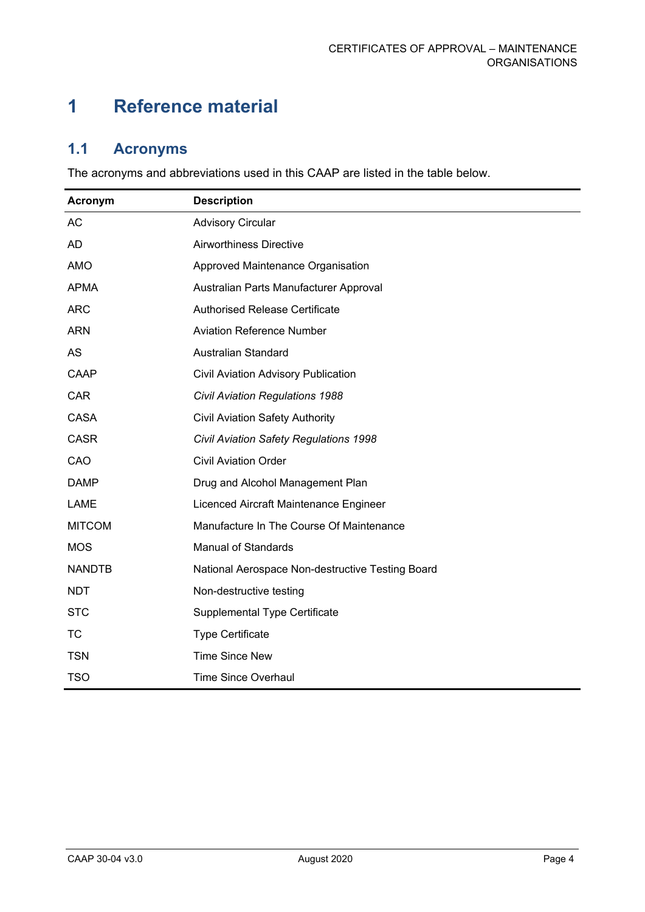# <span id="page-4-0"></span>**1 Reference material**

# <span id="page-4-1"></span>**1.1 Acronyms**

The acronyms and abbreviations used in this CAAP are listed in the table below.

<span id="page-4-2"></span>

| Acronym       | <b>Description</b>                               |
|---------------|--------------------------------------------------|
| AC            | <b>Advisory Circular</b>                         |
| <b>AD</b>     | Airworthiness Directive                          |
| AMO           | Approved Maintenance Organisation                |
| <b>APMA</b>   | Australian Parts Manufacturer Approval           |
| <b>ARC</b>    | <b>Authorised Release Certificate</b>            |
| <b>ARN</b>    | <b>Aviation Reference Number</b>                 |
| AS            | <b>Australian Standard</b>                       |
| CAAP          | Civil Aviation Advisory Publication              |
| <b>CAR</b>    | <b>Civil Aviation Regulations 1988</b>           |
| <b>CASA</b>   | <b>Civil Aviation Safety Authority</b>           |
| <b>CASR</b>   | Civil Aviation Safety Regulations 1998           |
| CAO           | <b>Civil Aviation Order</b>                      |
| <b>DAMP</b>   | Drug and Alcohol Management Plan                 |
| LAME          | Licenced Aircraft Maintenance Engineer           |
| <b>MITCOM</b> | Manufacture In The Course Of Maintenance         |
| <b>MOS</b>    | <b>Manual of Standards</b>                       |
| <b>NANDTB</b> | National Aerospace Non-destructive Testing Board |
| <b>NDT</b>    | Non-destructive testing                          |
| <b>STC</b>    | Supplemental Type Certificate                    |
| <b>TC</b>     | <b>Type Certificate</b>                          |
| <b>TSN</b>    | <b>Time Since New</b>                            |
| <b>TSO</b>    | <b>Time Since Overhaul</b>                       |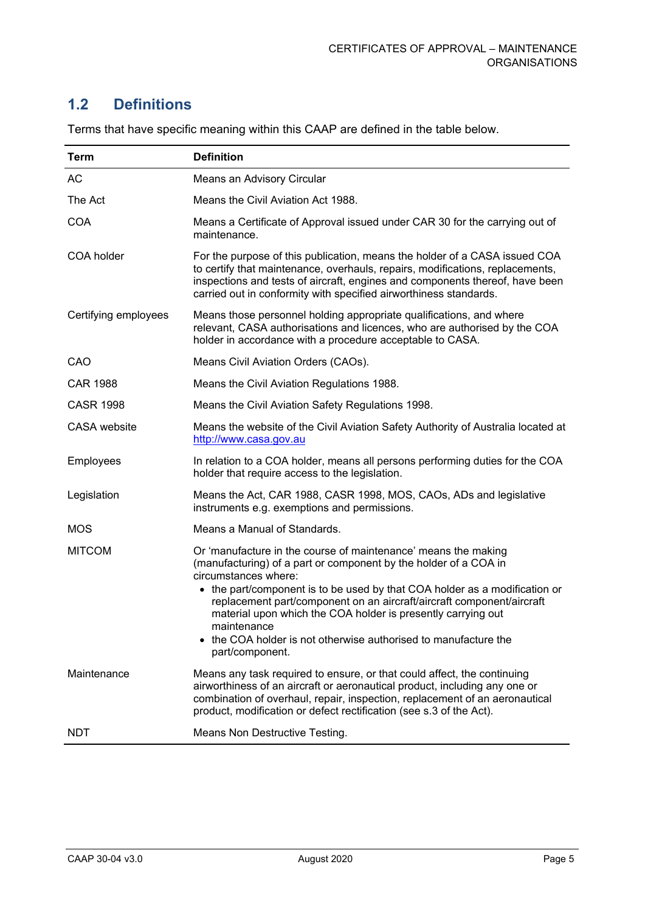# **1.2 Definitions**

| Term                 | <b>Definition</b>                                                                                                                                                                                                                                                                                                |
|----------------------|------------------------------------------------------------------------------------------------------------------------------------------------------------------------------------------------------------------------------------------------------------------------------------------------------------------|
| AC                   | Means an Advisory Circular                                                                                                                                                                                                                                                                                       |
| The Act              | Means the Civil Aviation Act 1988.                                                                                                                                                                                                                                                                               |
| <b>COA</b>           | Means a Certificate of Approval issued under CAR 30 for the carrying out of<br>maintenance.                                                                                                                                                                                                                      |
| COA holder           | For the purpose of this publication, means the holder of a CASA issued COA<br>to certify that maintenance, overhauls, repairs, modifications, replacements,<br>inspections and tests of aircraft, engines and components thereof, have been<br>carried out in conformity with specified airworthiness standards. |
| Certifying employees | Means those personnel holding appropriate qualifications, and where<br>relevant, CASA authorisations and licences, who are authorised by the COA<br>holder in accordance with a procedure acceptable to CASA.                                                                                                    |
| CAO                  | Means Civil Aviation Orders (CAOs).                                                                                                                                                                                                                                                                              |
| <b>CAR 1988</b>      | Means the Civil Aviation Regulations 1988.                                                                                                                                                                                                                                                                       |
| <b>CASR 1998</b>     | Means the Civil Aviation Safety Regulations 1998.                                                                                                                                                                                                                                                                |
| <b>CASA</b> website  | Means the website of the Civil Aviation Safety Authority of Australia located at<br>http://www.casa.gov.au                                                                                                                                                                                                       |
| Employees            | In relation to a COA holder, means all persons performing duties for the COA<br>holder that require access to the legislation.                                                                                                                                                                                   |
| Legislation          | Means the Act, CAR 1988, CASR 1998, MOS, CAOs, ADs and legislative<br>instruments e.g. exemptions and permissions.                                                                                                                                                                                               |
| <b>MOS</b>           | Means a Manual of Standards.                                                                                                                                                                                                                                                                                     |
| <b>MITCOM</b>        | Or 'manufacture in the course of maintenance' means the making<br>(manufacturing) of a part or component by the holder of a COA in<br>circumstances where:                                                                                                                                                       |
|                      | • the part/component is to be used by that COA holder as a modification or<br>replacement part/component on an aircraft/aircraft component/aircraft<br>material upon which the COA holder is presently carrying out<br>maintenance                                                                               |
|                      | • the COA holder is not otherwise authorised to manufacture the<br>part/component.                                                                                                                                                                                                                               |
| Maintenance          | Means any task required to ensure, or that could affect, the continuing<br>airworthiness of an aircraft or aeronautical product, including any one or<br>combination of overhaul, repair, inspection, replacement of an aeronautical<br>product, modification or defect rectification (see s.3 of the Act).      |
| <b>NDT</b>           | Means Non Destructive Testing.                                                                                                                                                                                                                                                                                   |

Terms that have specific meaning within this CAAP are defined in the table below.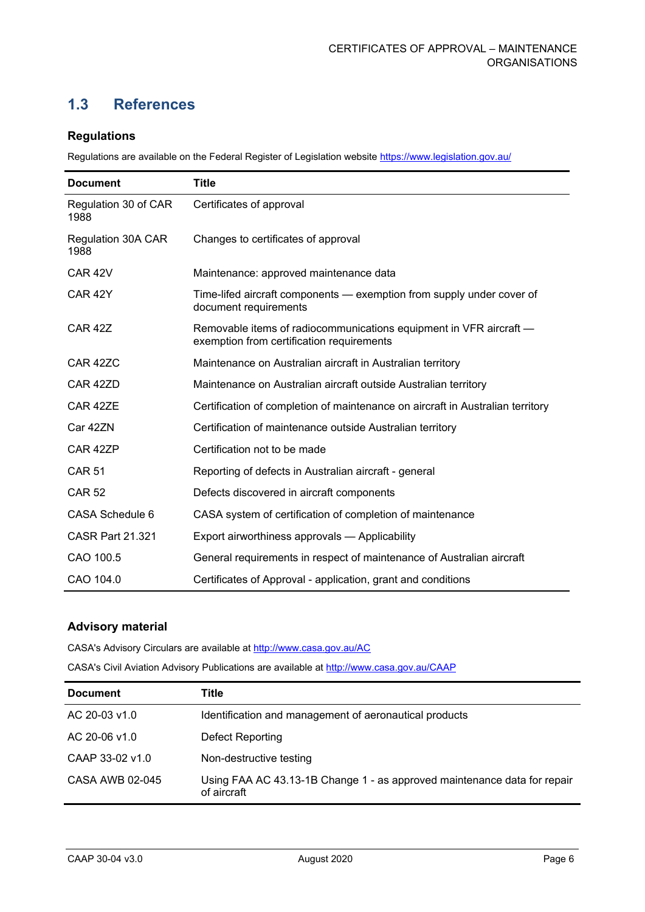# <span id="page-6-0"></span>**1.3 References**

#### **Regulations**

Regulations are available on the Federal Register of Legislation website<https://www.legislation.gov.au/>

| <b>Document</b>              | <b>Title</b>                                                                                                    |
|------------------------------|-----------------------------------------------------------------------------------------------------------------|
| Regulation 30 of CAR<br>1988 | Certificates of approval                                                                                        |
| Regulation 30A CAR<br>1988   | Changes to certificates of approval                                                                             |
| CAR <sub>42V</sub>           | Maintenance: approved maintenance data                                                                          |
| CAR <sub>42Y</sub>           | Time-lifed aircraft components — exemption from supply under cover of<br>document requirements                  |
| <b>CAR 42Z</b>               | Removable items of radiocommunications equipment in VFR aircraft -<br>exemption from certification requirements |
| CAR 42ZC                     | Maintenance on Australian aircraft in Australian territory                                                      |
| CAR 42ZD                     | Maintenance on Australian aircraft outside Australian territory                                                 |
| CAR 42ZE                     | Certification of completion of maintenance on aircraft in Australian territory                                  |
| Car 42ZN                     | Certification of maintenance outside Australian territory                                                       |
| CAR 42ZP                     | Certification not to be made                                                                                    |
| <b>CAR 51</b>                | Reporting of defects in Australian aircraft - general                                                           |
| <b>CAR 52</b>                | Defects discovered in aircraft components                                                                       |
| CASA Schedule 6              | CASA system of certification of completion of maintenance                                                       |
| <b>CASR Part 21.321</b>      | Export airworthiness approvals - Applicability                                                                  |
| CAO 100.5                    | General requirements in respect of maintenance of Australian aircraft                                           |
| CAO 104.0                    | Certificates of Approval - application, grant and conditions                                                    |

#### **Advisory material**

CASA's Advisory Circulars are available at [http://www.casa.gov.au/AC](http://www.casa.gov.au/ACs)

CASA's Civil Aviation Advisory Publications are available at [http://www.casa.gov.au/CAAP](http://www.casa.gov.au/CAAPs)

| <b>Document</b> | Title                                                                                   |
|-----------------|-----------------------------------------------------------------------------------------|
| AC 20-03 v1.0   | Identification and management of aeronautical products                                  |
| AC 20-06 v1.0   | Defect Reporting                                                                        |
| CAAP 33-02 v1.0 | Non-destructive testing                                                                 |
| CASA AWB 02-045 | Using FAA AC 43.13-1B Change 1 - as approved maintenance data for repair<br>of aircraft |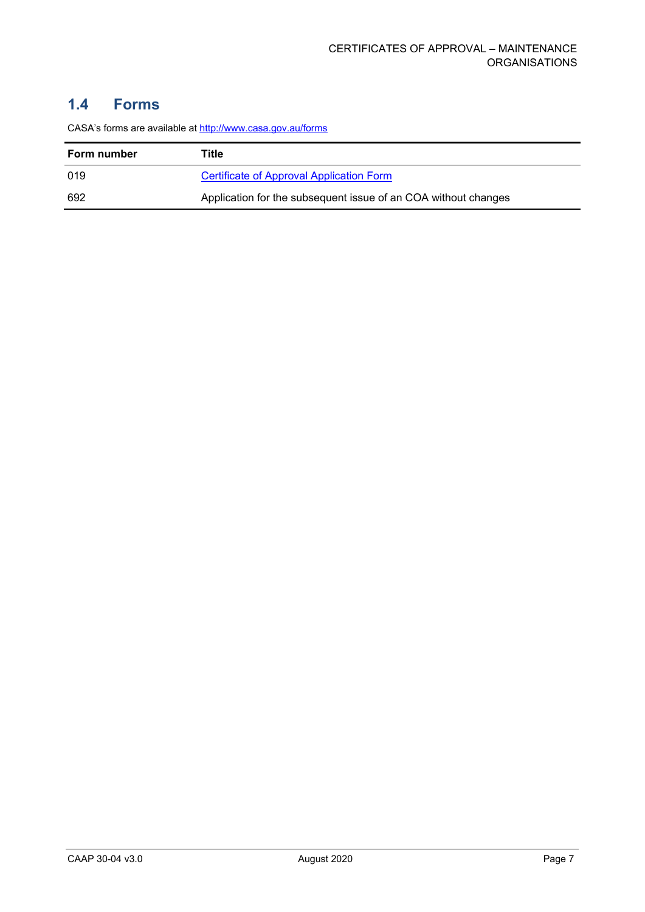# <span id="page-7-0"></span>**1.4 Forms**

| Form number | Title                                                          |
|-------------|----------------------------------------------------------------|
| 019         | Certificate of Approval Application Form                       |
| 692         | Application for the subsequent issue of an COA without changes |

CASA's forms are available at<http://www.casa.gov.au/forms>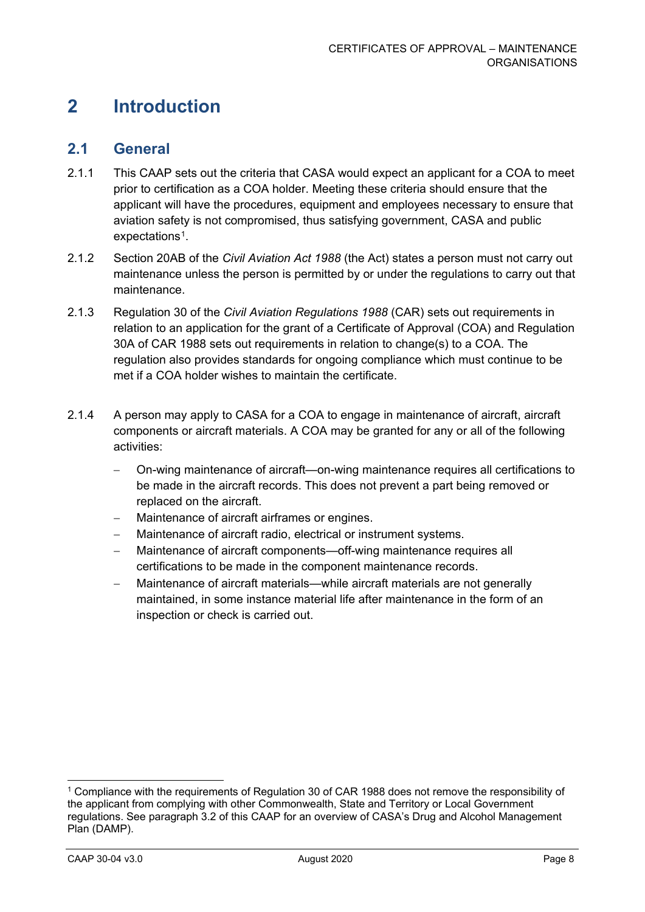# <span id="page-8-0"></span>**2 Introduction**

## <span id="page-8-1"></span>**2.1 General**

- 2.1.1 This CAAP sets out the criteria that CASA would expect an applicant for a COA to meet prior to certification as a COA holder. Meeting these criteria should ensure that the applicant will have the procedures, equipment and employees necessary to ensure that aviation safety is not compromised, thus satisfying government, CASA and public expectations<sup>[1](#page-8-3)</sup>.
- 2.1.2 Section 20AB of the *Civil Aviation Act 1988* (the Act) states a person must not carry out maintenance unless the person is permitted by or under the regulations to carry out that maintenance.
- 2.1.3 Regulation 30 of the *Civil Aviation Regulations 1988* (CAR) sets out requirements in relation to an application for the grant of a Certificate of Approval (COA) and Regulation 30A of CAR 1988 sets out requirements in relation to change(s) to a COA. The regulation also provides standards for ongoing compliance which must continue to be met if a COA holder wishes to maintain the certificate.
- 2.1.4 A person may apply to CASA for a COA to engage in maintenance of aircraft, aircraft components or aircraft materials. A COA may be granted for any or all of the following activities:
	- − On-wing maintenance of aircraft—on-wing maintenance requires all certifications to be made in the aircraft records. This does not prevent a part being removed or replaced on the aircraft.
	- − Maintenance of aircraft airframes or engines.
	- − Maintenance of aircraft radio, electrical or instrument systems.
	- − Maintenance of aircraft components—off-wing maintenance requires all certifications to be made in the component maintenance records.
	- − Maintenance of aircraft materials—while aircraft materials are not generally maintained, in some instance material life after maintenance in the form of an inspection or check is carried out.

<span id="page-8-3"></span><span id="page-8-2"></span><sup>&</sup>lt;sup>1</sup> Compliance with the requirements of Regulation 30 of CAR 1988 does not remove the responsibility of the applicant from complying with other Commonwealth, State and Territory or Local Government regulations. See paragraph 3.2 of this CAAP for an overview of CASA's Drug and Alcohol Management Plan (DAMP).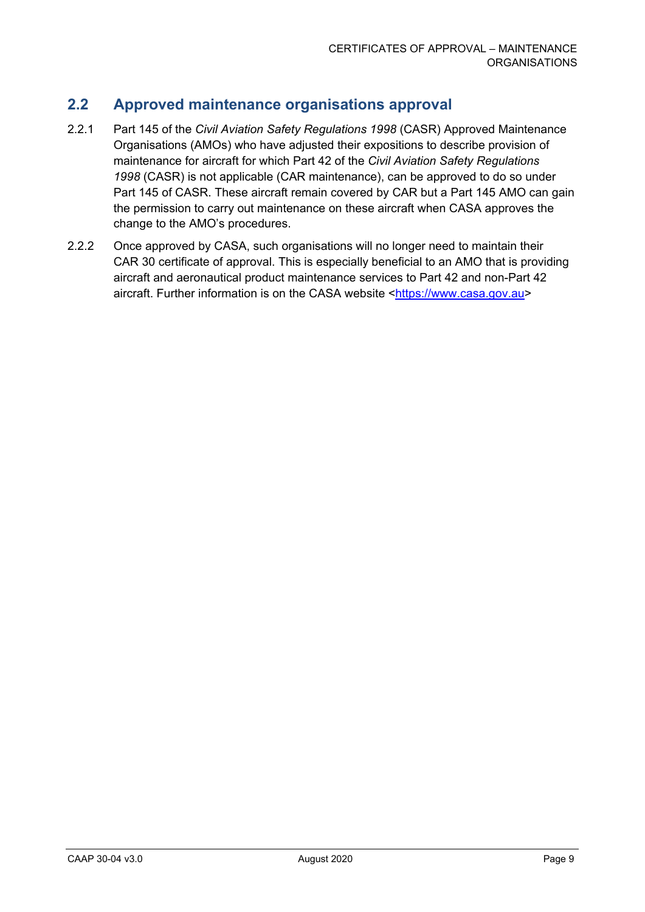# **2.2 Approved maintenance organisations approval**

- 2.2.1 Part 145 of the *Civil Aviation Safety Regulations 1998* (CASR) Approved Maintenance Organisations (AMOs) who have adjusted their expositions to describe provision of maintenance for aircraft for which Part 42 of the *Civil Aviation Safety Regulations 1998* (CASR) is not applicable (CAR maintenance), can be approved to do so under Part 145 of CASR. These aircraft remain covered by CAR but a Part 145 AMO can gain the permission to carry out maintenance on these aircraft when CASA approves the change to the AMO's procedures.
- 2.2.2 Once approved by CASA, such organisations will no longer need to maintain their CAR 30 certificate of approval. This is especially beneficial to an AMO that is providing aircraft and aeronautical product maintenance services to Part 42 and non-Part 42 aircraft. Further information is on the CASA website [<https://www.casa.gov.au>](https://www.casa.gov.au/)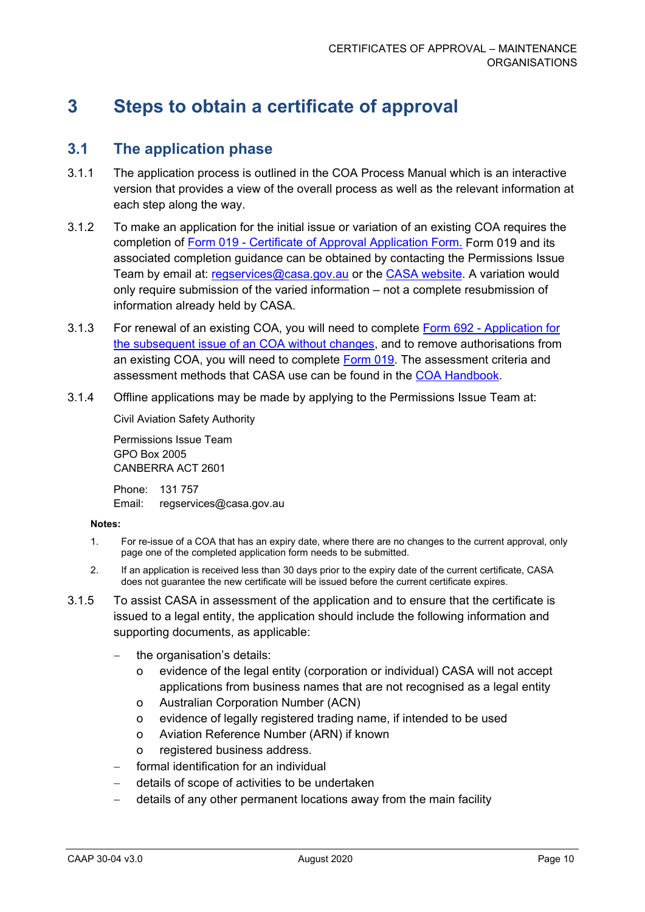# <span id="page-10-0"></span>**3 Steps to obtain a certificate of approval**

# <span id="page-10-1"></span>**3.1 The application phase**

- 3.1.1 The application process is outlined in the COA [Process Manual](http://services.casa.gov.au/coa) which is an interactive version that provides a view of the overall process as well as the relevant information at each step along the way.
- 3.1.2 To make an application for the initial issue or variation of an existing COA requires the completion of Form 019 - [Certificate of Approval Application Form.](https://www.casa.gov.au/standard-page/applying-certificate-approval-2) Form 019 and its associated completion guidance can be obtained by contacting the Permissions Issue Team by email at: [regservices@casa.gov.au](mailto:regservices@casa.gov.au) or the [CASA website.](https://www.casa.gov.au/standard-page/applying-certificate-approval-2) A variation would only require submission of the varied information – not a complete resubmission of information already held by CASA.
- 3.1.3 For renewal of an existing COA, you will need to complete Form 692 [Application for](https://www.casa.gov.au/files/coa692pdf)  [the subsequent issue of an COA without changes,](https://www.casa.gov.au/files/coa692pdf) and to remove authorisations from an existing COA, you will need to complete [Form](https://www.casa.gov.au/standard-page/applying-certificate-approval-2) 019. The assessment criteria and assessment methods that CASA use can be found in the [COA Handbook.](http://casa.gov.au/wcmswr/_assets/main/manuals/regulate/cofapp/coa_handbook.pdf)
- 3.1.4 Offline applications may be made by applying to the Permissions Issue Team at:

Civil Aviation Safety Authority

Permissions Issue Team GPO Box 2005 CANBERRA ACT 2601

Phone: 131 757 Email: regservices@casa.gov.au

#### **Notes:**

- 1. For re-issue of a COA that has an expiry date, where there are no changes to the current approval, only page one of the completed application form needs to be submitted.
- 2. If an application is received less than 30 days prior to the expiry date of the current certificate, CASA does not guarantee the new certificate will be issued before the current certificate expires.
- 3.1.5 To assist CASA in assessment of the application and to ensure that the certificate is issued to a legal entity, the application should include the following information and supporting documents, as applicable:
	- the organisation's details:
		- o evidence of the legal entity (corporation or individual) CASA will not accept applications from business names that are not recognised as a legal entity
		- o Australian Corporation Number (ACN)
		- o evidence of legally registered trading name, if intended to be used
		- o Aviation Reference Number (ARN) if known
		- o registered business address.
	- formal identification for an individual
	- − details of scope of activities to be undertaken
	- − details of any other permanent locations away from the main facility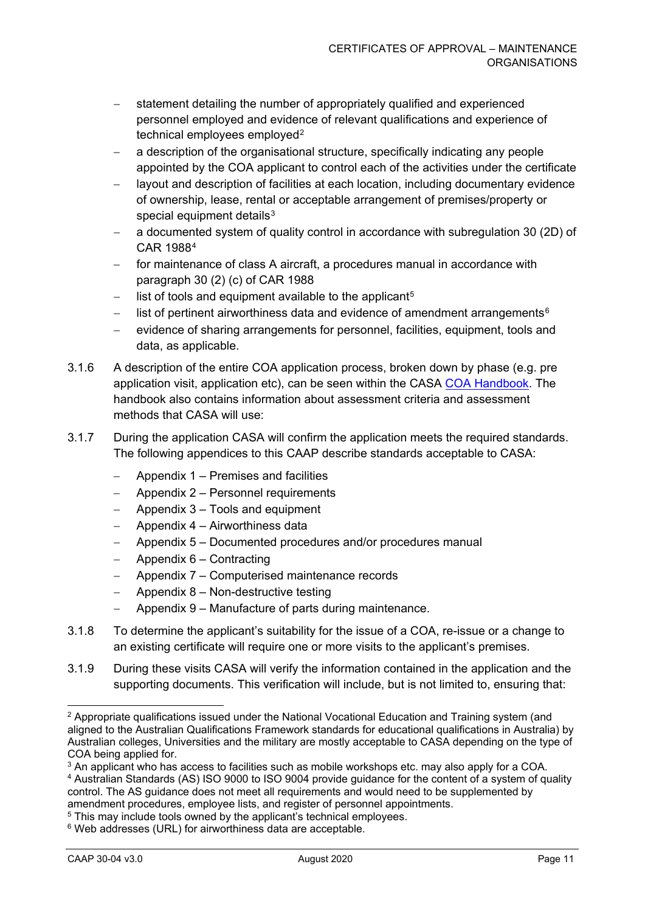- statement detailing the number of appropriately qualified and experienced personnel employed and evidence of relevant qualifications and experience of technical employees employed<sup>[2](#page-11-0)</sup>
- a description of the organisational structure, specifically indicating any people appointed by the COA applicant to control each of the activities under the certificate
- − layout and description of facilities at each location, including documentary evidence of ownership, lease, rental or acceptable arrangement of premises/property or special equipment details<sup>[3](#page-11-1)</sup>
- a documented system of quality control in accordance with subregulation 30 (2D) of CAR 1988[4](#page-11-2)
- for maintenance of class A aircraft, a procedures manual in accordance with paragraph 30 (2) (c) of CAR 1988
- list of tools and equipment available to the applicant<sup>[5](#page-11-3)</sup>
- list of pertinent airworthiness data and evidence of amendment arrangements<sup>[6](#page-11-4)</sup>
- evidence of sharing arrangements for personnel, facilities, equipment, tools and data, as applicable.
- 3.1.6 A description of the entire COA application process, broken down by phase (e.g. pre application visit, application etc), can be seen within the CASA [COA Handbook.](http://casa.gov.au/wcmswr/_assets/main/manuals/regulate/cofapp/coa_handbook.pdf) The handbook also contains information about assessment criteria and assessment methods that CASA will use:
- 3.1.7 During the application CASA will confirm the application meets the required standards. The following appendices to this CAAP describe standards acceptable to CASA:
	- − Appendix 1 Premises and facilities
	- − Appendix 2 Personnel requirements
	- − Appendix 3 Tools and equipment
	- − Appendix 4 Airworthiness data
	- − Appendix 5 Documented procedures and/or procedures manual
	- − Appendix 6 Contracting
	- − Appendix 7 Computerised maintenance records
	- − Appendix 8 Non-destructive testing
	- − Appendix 9 Manufacture of parts during maintenance.
- 3.1.8 To determine the applicant's suitability for the issue of a COA, re-issue or a change to an existing certificate will require one or more visits to the applicant's premises.
- 3.1.9 During these visits CASA will verify the information contained in the application and the supporting documents. This verification will include, but is not limited to, ensuring that:

<span id="page-11-0"></span><sup>&</sup>lt;sup>2</sup> Appropriate qualifications issued under the National Vocational Education and Training system (and aligned to the Australian Qualifications Framework standards for educational qualifications in Australia) by Australian colleges, Universities and the military are mostly acceptable to CASA depending on the type of COA being applied for.

<span id="page-11-2"></span><span id="page-11-1"></span> $3$  An applicant who has access to facilities such as mobile workshops etc. may also apply for a COA. <sup>4</sup> Australian Standards (AS) ISO 9000 to ISO 9004 provide guidance for the content of a system of quality control. The AS guidance does not meet all requirements and would need to be supplemented by amendment procedures, employee lists, and register of personnel appointments.

<span id="page-11-3"></span><sup>&</sup>lt;sup>5</sup> This may include tools owned by the applicant's technical employees.

<span id="page-11-4"></span><sup>&</sup>lt;sup>6</sup> Web addresses (URL) for airworthiness data are acceptable.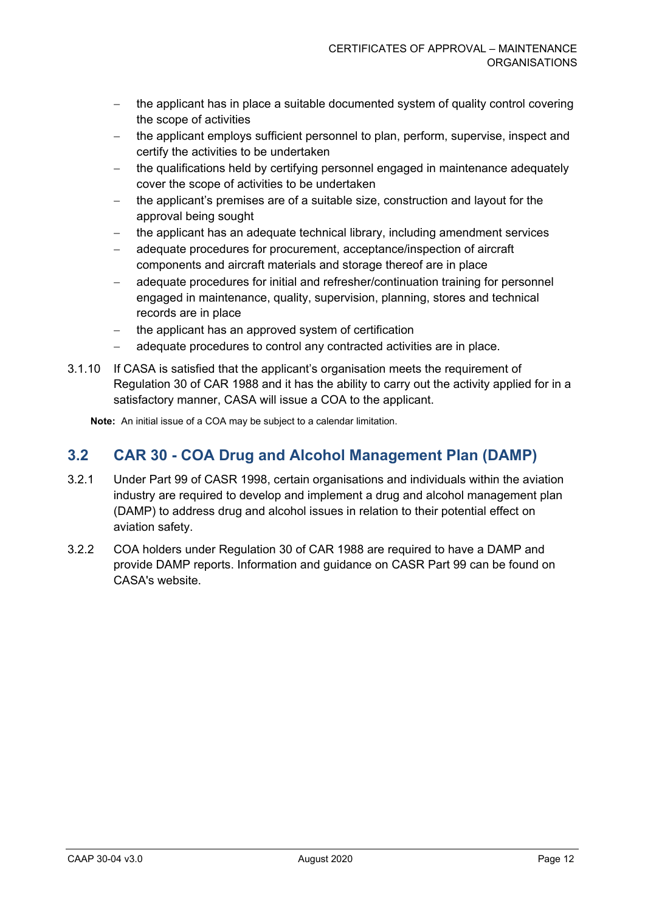- the applicant has in place a suitable documented system of quality control covering the scope of activities
- − the applicant employs sufficient personnel to plan, perform, supervise, inspect and certify the activities to be undertaken
- the qualifications held by certifying personnel engaged in maintenance adequately cover the scope of activities to be undertaken
- the applicant's premises are of a suitable size, construction and layout for the approval being sought
- − the applicant has an adequate technical library, including amendment services
- − adequate procedures for procurement, acceptance/inspection of aircraft components and aircraft materials and storage thereof are in place
- − adequate procedures for initial and refresher/continuation training for personnel engaged in maintenance, quality, supervision, planning, stores and technical records are in place
- − the applicant has an approved system of certification
- − adequate procedures to control any contracted activities are in place.
- 3.1.10 If CASA is satisfied that the applicant's organisation meets the requirement of Regulation 30 of CAR 1988 and it has the ability to carry out the activity applied for in a satisfactory manner, CASA will issue a COA to the applicant.

**Note:** An initial issue of a COA may be subject to a calendar limitation.

# <span id="page-12-0"></span>**3.2 CAR 30 - COA Drug and Alcohol Management Plan (DAMP)**

- 3.2.1 Under Part 99 of CASR 1998, certain organisations and individuals within the aviation industry are required to develop and implement a drug and alcohol management plan (DAMP) to address drug and alcohol issues in relation to their potential effect on aviation safety.
- 3.2.2 COA holders under Regulation 30 of CAR 1988 are required to have a DAMP and provide DAMP reports. Information and guidance on CASR Part 99 can be found on CASA's website.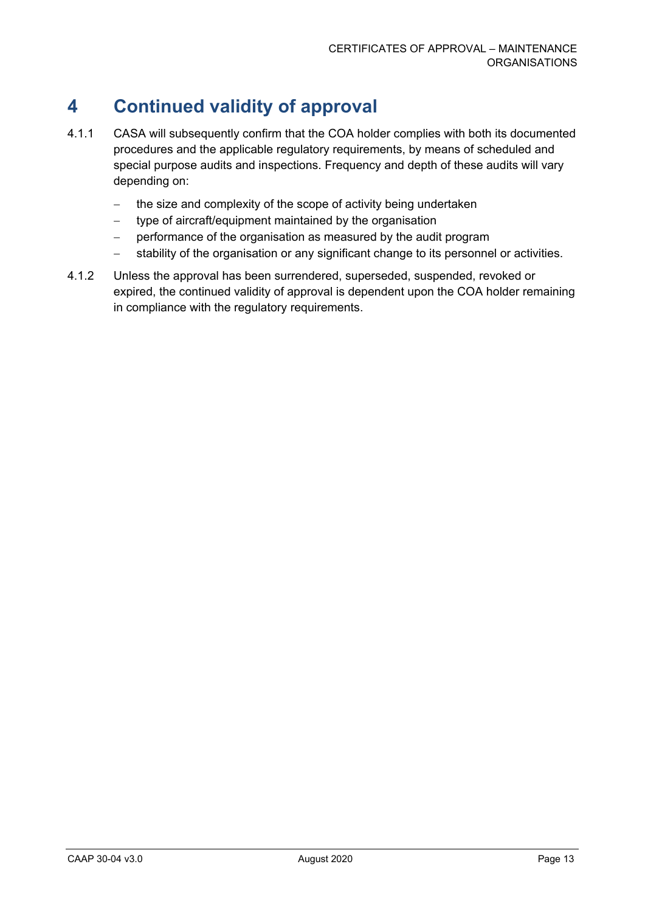# <span id="page-13-0"></span>**4 Continued validity of approval**

- 4.1.1 CASA will subsequently confirm that the COA holder complies with both its documented procedures and the applicable regulatory requirements, by means of scheduled and special purpose audits and inspections. Frequency and depth of these audits will vary depending on:
	- − the size and complexity of the scope of activity being undertaken
	- − type of aircraft/equipment maintained by the organisation
	- performance of the organisation as measured by the audit program
	- − stability of the organisation or any significant change to its personnel or activities.
- 4.1.2 Unless the approval has been surrendered, superseded, suspended, revoked or expired, the continued validity of approval is dependent upon the COA holder remaining in compliance with the regulatory requirements.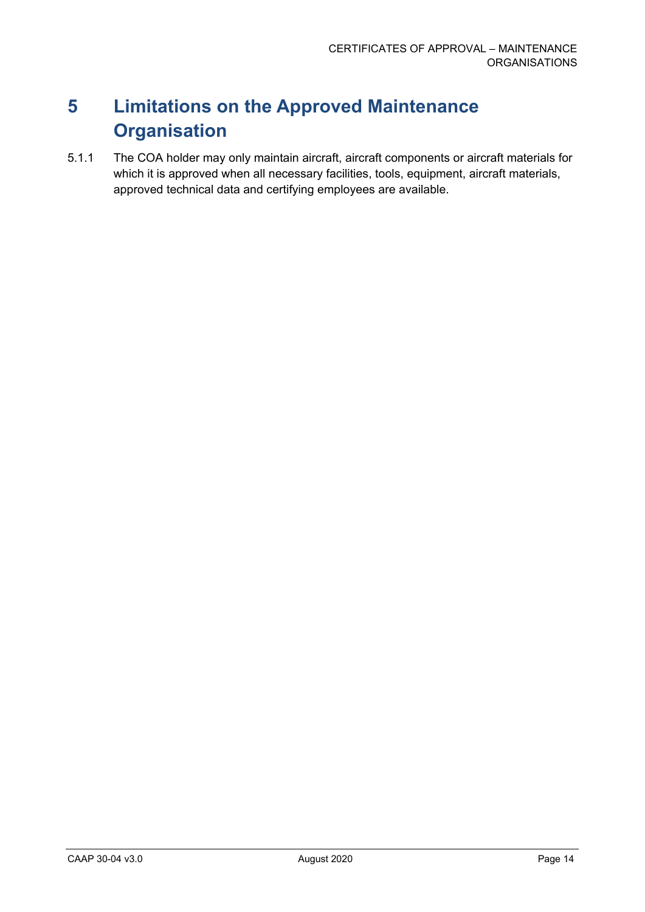# <span id="page-14-0"></span>**5 Limitations on the Approved Maintenance Organisation**

5.1.1 The COA holder may only maintain aircraft, aircraft components or aircraft materials for which it is approved when all necessary facilities, tools, equipment, aircraft materials, approved technical data and certifying employees are available.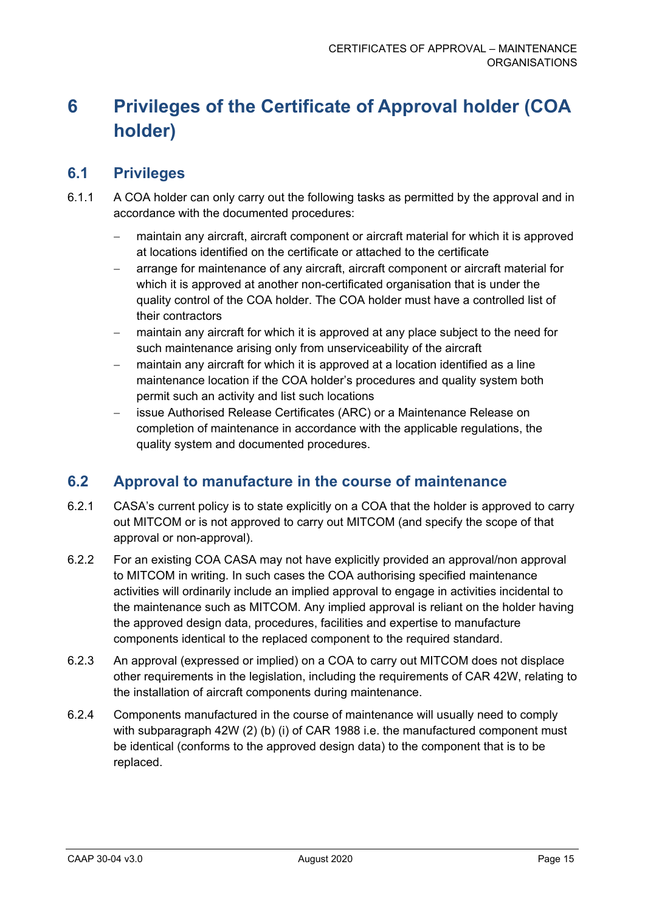# <span id="page-15-0"></span>**6 Privileges of the Certificate of Approval holder (COA holder)**

# <span id="page-15-1"></span>**6.1 Privileges**

- 6.1.1 A COA holder can only carry out the following tasks as permitted by the approval and in accordance with the documented procedures:
	- maintain any aircraft, aircraft component or aircraft material for which it is approved at locations identified on the certificate or attached to the certificate
	- − arrange for maintenance of any aircraft, aircraft component or aircraft material for which it is approved at another non-certificated organisation that is under the quality control of the COA holder. The COA holder must have a controlled list of their contractors
	- maintain any aircraft for which it is approved at any place subject to the need for such maintenance arising only from unserviceability of the aircraft
	- maintain any aircraft for which it is approved at a location identified as a line maintenance location if the COA holder's procedures and quality system both permit such an activity and list such locations
	- issue Authorised Release Certificates (ARC) or a Maintenance Release on completion of maintenance in accordance with the applicable regulations, the quality system and documented procedures.

# <span id="page-15-2"></span>**6.2 Approval to manufacture in the course of maintenance**

- 6.2.1 CASA's current policy is to state explicitly on a COA that the holder is approved to carry out MITCOM or is not approved to carry out MITCOM (and specify the scope of that approval or non-approval).
- 6.2.2 For an existing COA CASA may not have explicitly provided an approval/non approval to MITCOM in writing. In such cases the COA authorising specified maintenance activities will ordinarily include an implied approval to engage in activities incidental to the maintenance such as MITCOM. Any implied approval is reliant on the holder having the approved design data, procedures, facilities and expertise to manufacture components identical to the replaced component to the required standard.
- 6.2.3 An approval (expressed or implied) on a COA to carry out MITCOM does not displace other requirements in the legislation, including the requirements of CAR 42W, relating to the installation of aircraft components during maintenance.
- 6.2.4 Components manufactured in the course of maintenance will usually need to comply with subparagraph 42W (2) (b) (i) of CAR 1988 i.e. the manufactured component must be identical (conforms to the approved design data) to the component that is to be replaced.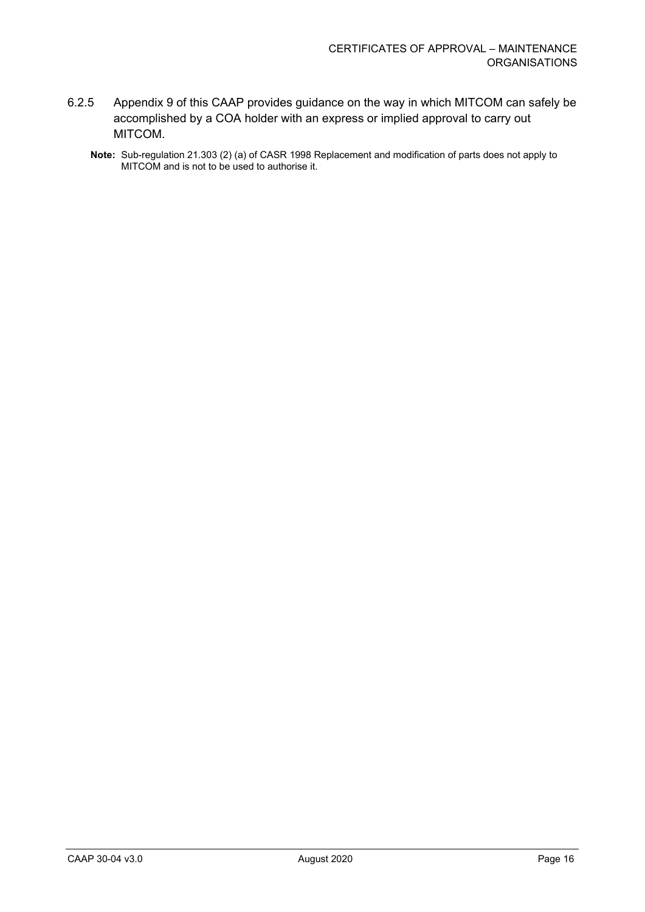- 6.2.5 Appendix 9 of this CAAP provides guidance on the way in which MITCOM can safely be accomplished by a COA holder with an express or implied approval to carry out MITCOM.
	- **Note:** Sub-regulation 21.303 (2) (a) of CASR 1998 Replacement and modification of parts does not apply to MITCOM and is not to be used to authorise it.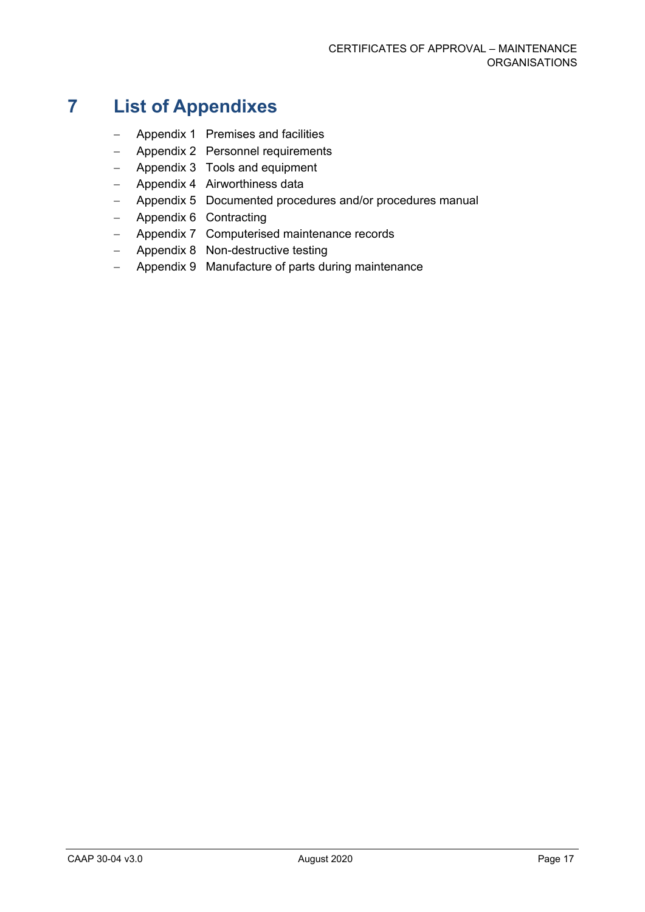# <span id="page-17-0"></span>**7 List of Appendixes**

- − Appendix 1 Premises and facilities
- − Appendix 2 Personnel requirements
- − Appendix 3 Tools and equipment
- − Appendix 4 Airworthiness data
- − Appendix 5 Documented procedures and/or procedures manual
- − Appendix 6 Contracting
- − Appendix 7 Computerised maintenance records
- − Appendix 8 Non-destructive testing
- − Appendix 9 Manufacture of parts during maintenance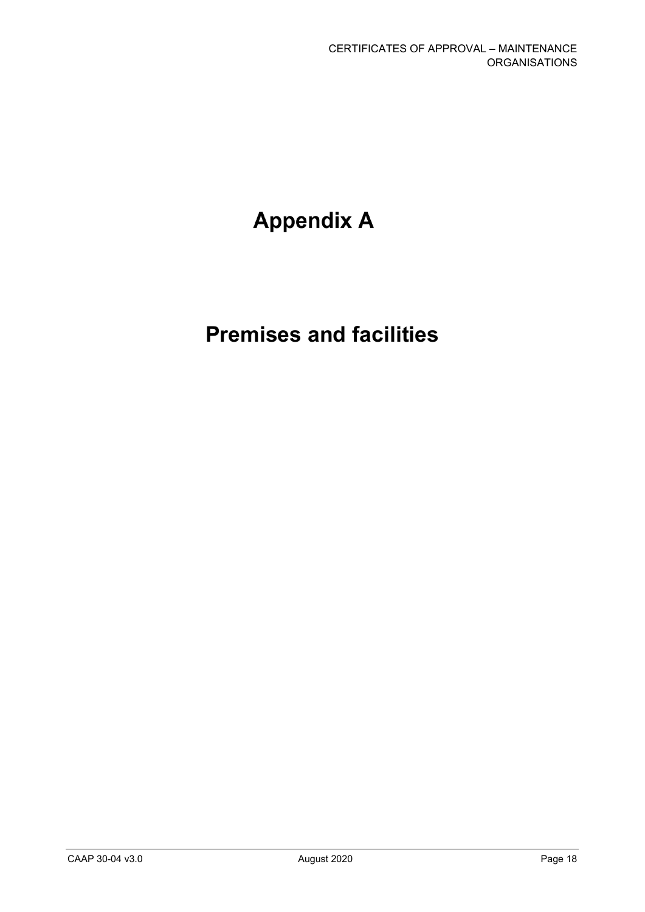# **Appendix A**

# **Premises and facilities**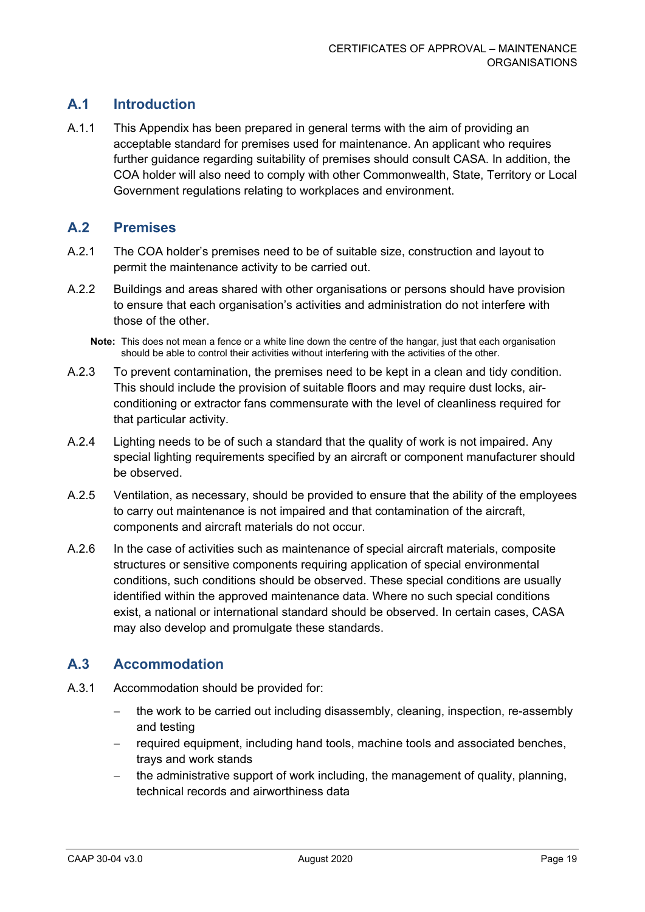# **A.1 Introduction**

A.1.1 This Appendix has been prepared in general terms with the aim of providing an acceptable standard for premises used for maintenance. An applicant who requires further guidance regarding suitability of premises should consult CASA. In addition, the COA holder will also need to comply with other Commonwealth, State, Territory or Local Government regulations relating to workplaces and environment.

#### **A.2 Premises**

- A.2.1 The COA holder's premises need to be of suitable size, construction and layout to permit the maintenance activity to be carried out.
- A.2.2 Buildings and areas shared with other organisations or persons should have provision to ensure that each organisation's activities and administration do not interfere with those of the other.
	- **Note:** This does not mean a fence or a white line down the centre of the hangar, just that each organisation should be able to control their activities without interfering with the activities of the other.
- A.2.3 To prevent contamination, the premises need to be kept in a clean and tidy condition. This should include the provision of suitable floors and may require dust locks, airconditioning or extractor fans commensurate with the level of cleanliness required for that particular activity.
- A.2.4 Lighting needs to be of such a standard that the quality of work is not impaired. Any special lighting requirements specified by an aircraft or component manufacturer should be observed.
- A.2.5 Ventilation, as necessary, should be provided to ensure that the ability of the employees to carry out maintenance is not impaired and that contamination of the aircraft, components and aircraft materials do not occur.
- A.2.6 In the case of activities such as maintenance of special aircraft materials, composite structures or sensitive components requiring application of special environmental conditions, such conditions should be observed. These special conditions are usually identified within the approved maintenance data. Where no such special conditions exist, a national or international standard should be observed. In certain cases, CASA may also develop and promulgate these standards.

## **A.3 Accommodation**

- A.3.1 Accommodation should be provided for:
	- the work to be carried out including disassembly, cleaning, inspection, re-assembly and testing
	- − required equipment, including hand tools, machine tools and associated benches, trays and work stands
	- the administrative support of work including, the management of quality, planning, technical records and airworthiness data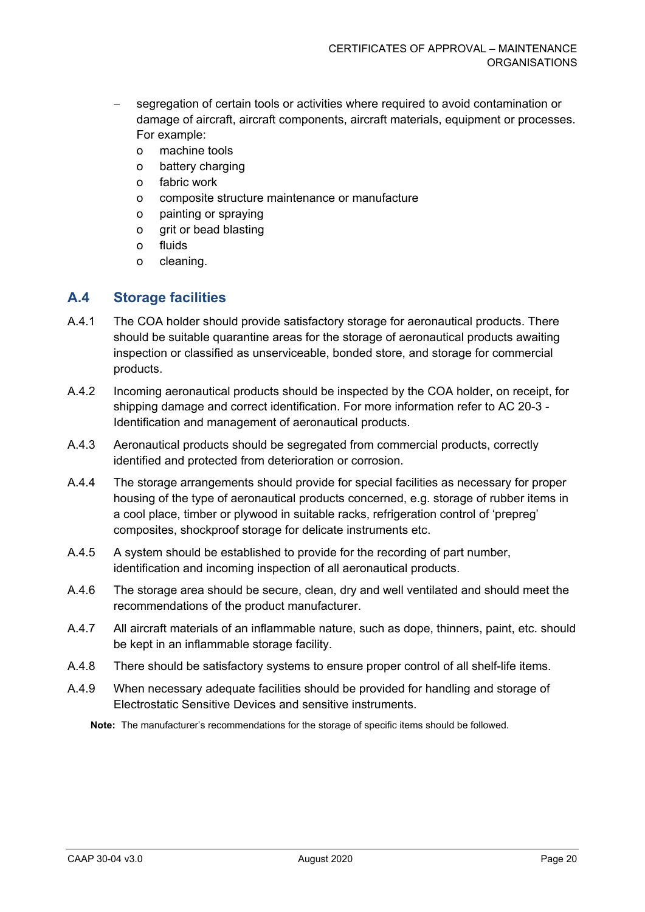- segregation of certain tools or activities where required to avoid contamination or damage of aircraft, aircraft components, aircraft materials, equipment or processes. For example:
	- o machine tools
	- o battery charging
	- o fabric work
	- o composite structure maintenance or manufacture
	- o painting or spraying
	- o grit or bead blasting
	- o fluids
	- o cleaning.

## **A.4 Storage facilities**

- A.4.1 The COA holder should provide satisfactory storage for aeronautical products. There should be suitable quarantine areas for the storage of aeronautical products awaiting inspection or classified as unserviceable, bonded store, and storage for commercial products.
- A.4.2 Incoming aeronautical products should be inspected by the COA holder, on receipt, for shipping damage and correct identification. For more information refer to AC 20-3 - Identification and management of aeronautical products.
- A.4.3 Aeronautical products should be segregated from commercial products, correctly identified and protected from deterioration or corrosion.
- A.4.4 The storage arrangements should provide for special facilities as necessary for proper housing of the type of aeronautical products concerned, e.g. storage of rubber items in a cool place, timber or plywood in suitable racks, refrigeration control of 'prepreg' composites, shockproof storage for delicate instruments etc.
- A.4.5 A system should be established to provide for the recording of part number, identification and incoming inspection of all aeronautical products.
- A.4.6 The storage area should be secure, clean, dry and well ventilated and should meet the recommendations of the product manufacturer.
- A.4.7 All aircraft materials of an inflammable nature, such as dope, thinners, paint, etc. should be kept in an inflammable storage facility.
- A.4.8 There should be satisfactory systems to ensure proper control of all shelf-life items.
- A.4.9 When necessary adequate facilities should be provided for handling and storage of Electrostatic Sensitive Devices and sensitive instruments.

**Note:** The manufacturer's recommendations for the storage of specific items should be followed.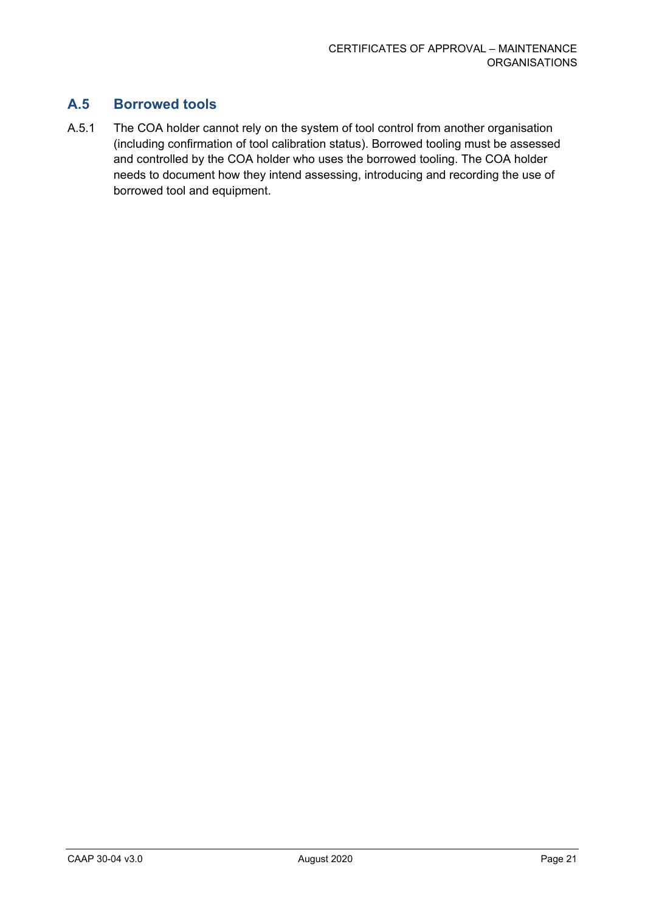# **A.5 Borrowed tools**

A.5.1 The COA holder cannot rely on the system of tool control from another organisation (including confirmation of tool calibration status). Borrowed tooling must be assessed and controlled by the COA holder who uses the borrowed tooling. The COA holder needs to document how they intend assessing, introducing and recording the use of borrowed tool and equipment.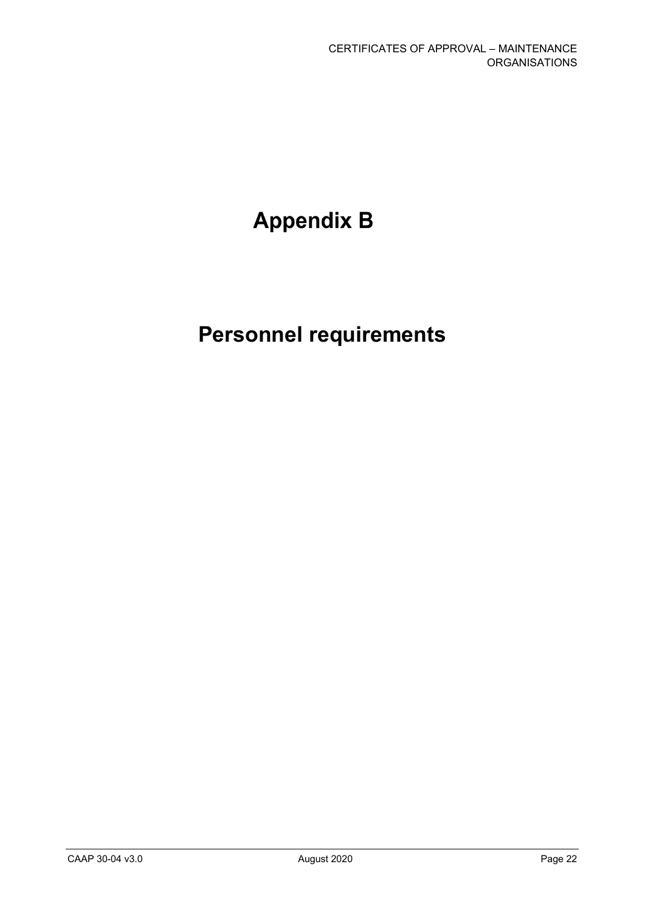# **Appendix B**

# **Personnel requirements**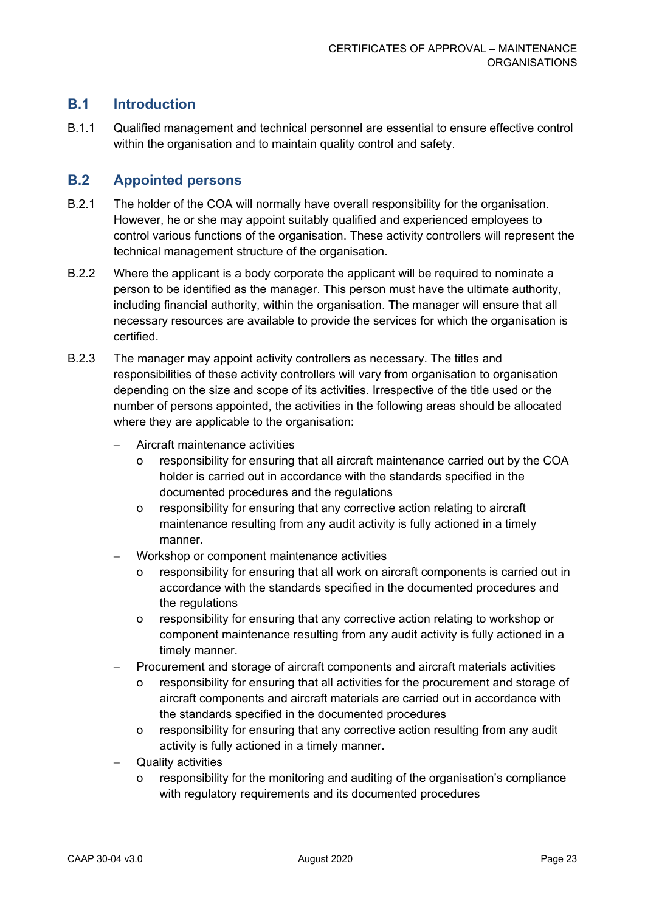# **B.1 Introduction**

B.1.1 Qualified management and technical personnel are essential to ensure effective control within the organisation and to maintain quality control and safety.

## **B.2 Appointed persons**

- B.2.1 The holder of the COA will normally have overall responsibility for the organisation. However, he or she may appoint suitably qualified and experienced employees to control various functions of the organisation. These activity controllers will represent the technical management structure of the organisation.
- B.2.2 Where the applicant is a body corporate the applicant will be required to nominate a person to be identified as the manager. This person must have the ultimate authority, including financial authority, within the organisation. The manager will ensure that all necessary resources are available to provide the services for which the organisation is certified.
- B.2.3 The manager may appoint activity controllers as necessary. The titles and responsibilities of these activity controllers will vary from organisation to organisation depending on the size and scope of its activities. Irrespective of the title used or the number of persons appointed, the activities in the following areas should be allocated where they are applicable to the organisation:
	- − Aircraft maintenance activities
		- o responsibility for ensuring that all aircraft maintenance carried out by the COA holder is carried out in accordance with the standards specified in the documented procedures and the regulations
		- o responsibility for ensuring that any corrective action relating to aircraft maintenance resulting from any audit activity is fully actioned in a timely manner.
	- − Workshop or component maintenance activities
		- o responsibility for ensuring that all work on aircraft components is carried out in accordance with the standards specified in the documented procedures and the regulations
		- o responsibility for ensuring that any corrective action relating to workshop or component maintenance resulting from any audit activity is fully actioned in a timely manner.
	- Procurement and storage of aircraft components and aircraft materials activities
		- o responsibility for ensuring that all activities for the procurement and storage of aircraft components and aircraft materials are carried out in accordance with the standards specified in the documented procedures
		- o responsibility for ensuring that any corrective action resulting from any audit activity is fully actioned in a timely manner.
	- Quality activities
		- responsibility for the monitoring and auditing of the organisation's compliance with regulatory requirements and its documented procedures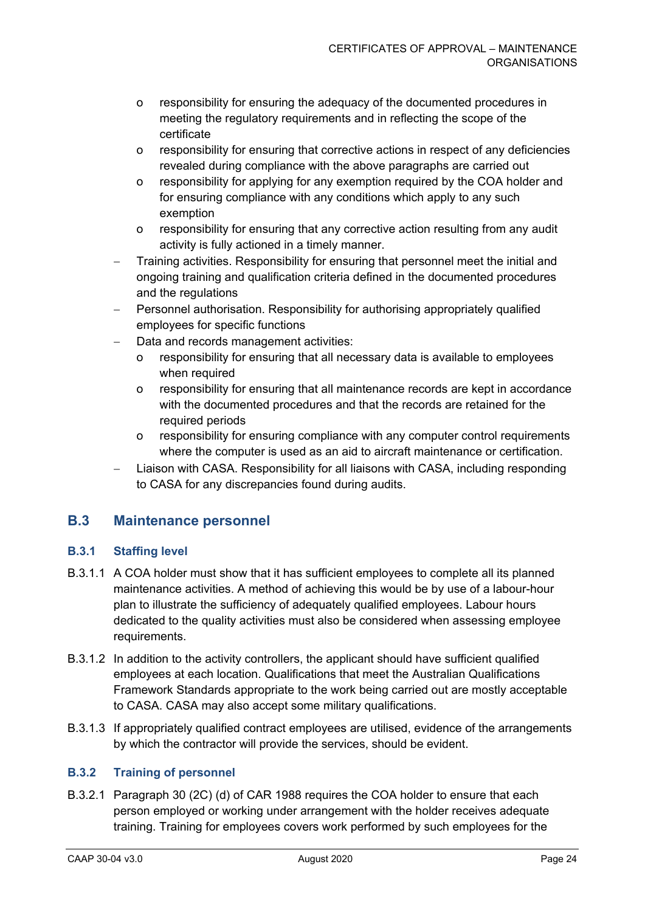- o responsibility for ensuring the adequacy of the documented procedures in meeting the regulatory requirements and in reflecting the scope of the certificate
- o responsibility for ensuring that corrective actions in respect of any deficiencies revealed during compliance with the above paragraphs are carried out
- o responsibility for applying for any exemption required by the COA holder and for ensuring compliance with any conditions which apply to any such exemption
- o responsibility for ensuring that any corrective action resulting from any audit activity is fully actioned in a timely manner.
- − Training activities. Responsibility for ensuring that personnel meet the initial and ongoing training and qualification criteria defined in the documented procedures and the regulations
- Personnel authorisation. Responsibility for authorising appropriately qualified employees for specific functions
- Data and records management activities:
	- o responsibility for ensuring that all necessary data is available to employees when required
	- o responsibility for ensuring that all maintenance records are kept in accordance with the documented procedures and that the records are retained for the required periods
	- o responsibility for ensuring compliance with any computer control requirements where the computer is used as an aid to aircraft maintenance or certification.
- Liaison with CASA. Responsibility for all liaisons with CASA, including responding to CASA for any discrepancies found during audits.

## **B.3 Maintenance personnel**

#### **B.3.1 Staffing level**

- B.3.1.1 A COA holder must show that it has sufficient employees to complete all its planned maintenance activities. A method of achieving this would be by use of a labour-hour plan to illustrate the sufficiency of adequately qualified employees. Labour hours dedicated to the quality activities must also be considered when assessing employee requirements.
- B.3.1.2 In addition to the activity controllers, the applicant should have sufficient qualified employees at each location. Qualifications that meet the Australian Qualifications Framework Standards appropriate to the work being carried out are mostly acceptable to CASA. CASA may also accept some military qualifications.
- B.3.1.3 If appropriately qualified contract employees are utilised, evidence of the arrangements by which the contractor will provide the services, should be evident.

#### **B.3.2 Training of personnel**

B.3.2.1 Paragraph 30 (2C) (d) of CAR 1988 requires the COA holder to ensure that each person employed or working under arrangement with the holder receives adequate training. Training for employees covers work performed by such employees for the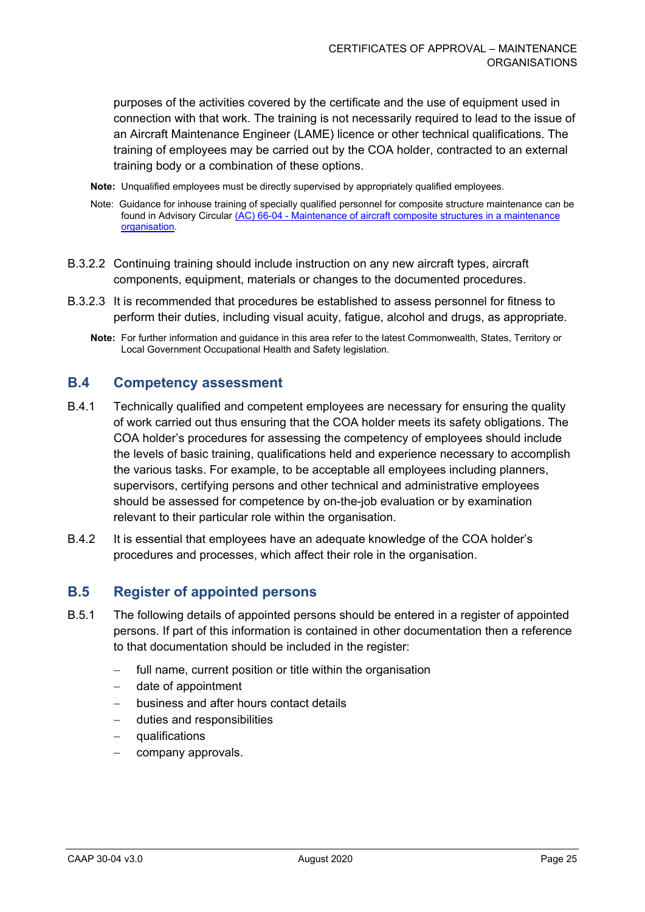purposes of the activities covered by the certificate and the use of equipment used in connection with that work. The training is not necessarily required to lead to the issue of an Aircraft Maintenance Engineer (LAME) licence or other technical qualifications. The training of employees may be carried out by the COA holder, contracted to an external training body or a combination of these options.

- **Note:** Unqualified employees must be directly supervised by appropriately qualified employees.
- Note: Guidance for inhouse training of specially qualified personnel for composite structure maintenance can be found in Advisory Circular (AC) 66-04 - [Maintenance of aircraft composite structures in a maintenance](https://www.casa.gov.au/files/066c04pdf)  [organisation.](https://www.casa.gov.au/files/066c04pdf)
- B.3.2.2 Continuing training should include instruction on any new aircraft types, aircraft components, equipment, materials or changes to the documented procedures.
- B.3.2.3 It is recommended that procedures be established to assess personnel for fitness to perform their duties, including visual acuity, fatigue, alcohol and drugs, as appropriate.
	- **Note:** For further information and guidance in this area refer to the latest Commonwealth, States, Territory or Local Government Occupational Health and Safety legislation.

#### **B.4 Competency assessment**

- B.4.1 Technically qualified and competent employees are necessary for ensuring the quality of work carried out thus ensuring that the COA holder meets its safety obligations. The COA holder's procedures for assessing the competency of employees should include the levels of basic training, qualifications held and experience necessary to accomplish the various tasks. For example, to be acceptable all employees including planners, supervisors, certifying persons and other technical and administrative employees should be assessed for competence by on-the-job evaluation or by examination relevant to their particular role within the organisation.
- B.4.2 It is essential that employees have an adequate knowledge of the COA holder's procedures and processes, which affect their role in the organisation.

#### **B.5 Register of appointed persons**

- B.5.1 The following details of appointed persons should be entered in a register of appointed persons. If part of this information is contained in other documentation then a reference to that documentation should be included in the register:
	- − full name, current position or title within the organisation
	- date of appointment
	- − business and after hours contact details
	- − duties and responsibilities
	- − qualifications
	- − company approvals.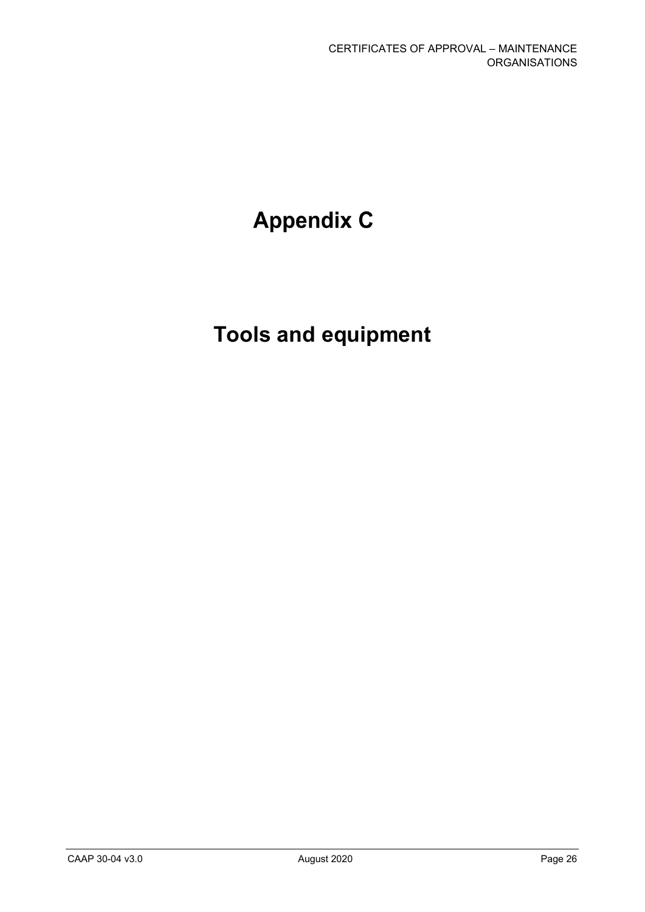# **Appendix C**

# **Tools and equipment**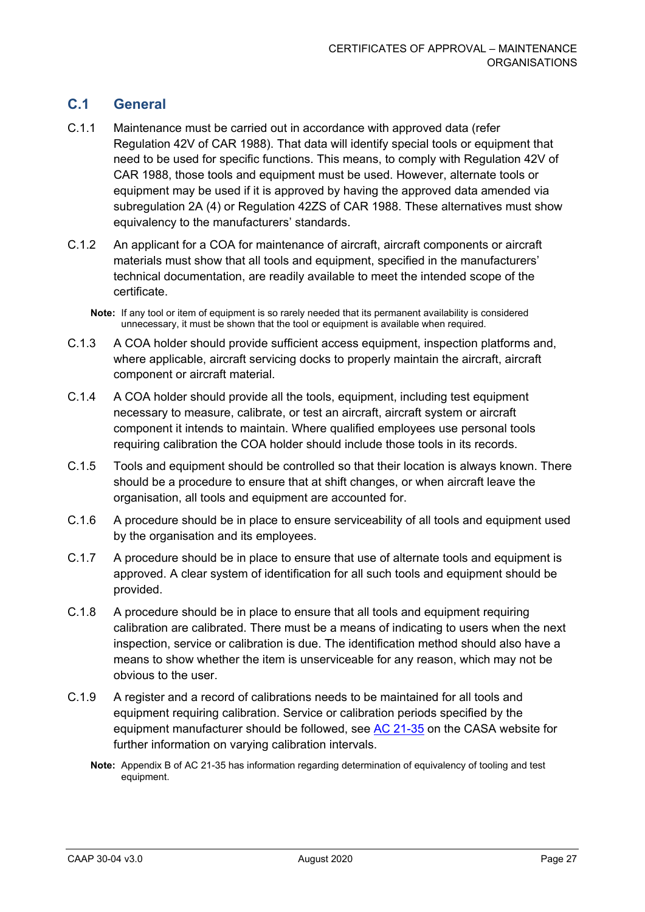# **C.1 General**

- C.1.1 Maintenance must be carried out in accordance with approved data (refer Regulation 42V of CAR 1988). That data will identify special tools or equipment that need to be used for specific functions. This means, to comply with Regulation 42V of CAR 1988, those tools and equipment must be used. However, alternate tools or equipment may be used if it is approved by having the approved data amended via subregulation 2A (4) or Regulation 42ZS of CAR 1988. These alternatives must show equivalency to the manufacturers' standards.
- C.1.2 An applicant for a COA for maintenance of aircraft, aircraft components or aircraft materials must show that all tools and equipment, specified in the manufacturers' technical documentation, are readily available to meet the intended scope of the certificate.
	- **Note:** If any tool or item of equipment is so rarely needed that its permanent availability is considered unnecessary, it must be shown that the tool or equipment is available when required.
- C.1.3 A COA holder should provide sufficient access equipment, inspection platforms and, where applicable, aircraft servicing docks to properly maintain the aircraft, aircraft component or aircraft material.
- C.1.4 A COA holder should provide all the tools, equipment, including test equipment necessary to measure, calibrate, or test an aircraft, aircraft system or aircraft component it intends to maintain. Where qualified employees use personal tools requiring calibration the COA holder should include those tools in its records.
- C.1.5 Tools and equipment should be controlled so that their location is always known. There should be a procedure to ensure that at shift changes, or when aircraft leave the organisation, all tools and equipment are accounted for.
- C.1.6 A procedure should be in place to ensure serviceability of all tools and equipment used by the organisation and its employees.
- C.1.7 A procedure should be in place to ensure that use of alternate tools and equipment is approved. A clear system of identification for all such tools and equipment should be provided.
- C.1.8 A procedure should be in place to ensure that all tools and equipment requiring calibration are calibrated. There must be a means of indicating to users when the next inspection, service or calibration is due. The identification method should also have a means to show whether the item is unserviceable for any reason, which may not be obvious to the user.
- C.1.9 A register and a record of calibrations needs to be maintained for all tools and equipment requiring calibration. Service or calibration periods specified by the equipment manufacturer should be followed, see [AC 21-35](https://www.casa.gov.au/standard-page/advisory-circulars-acs-0) on the CASA website for further information on varying calibration intervals.
	- **Note:** Appendix B of AC 21-35 has information regarding determination of equivalency of tooling and test equipment.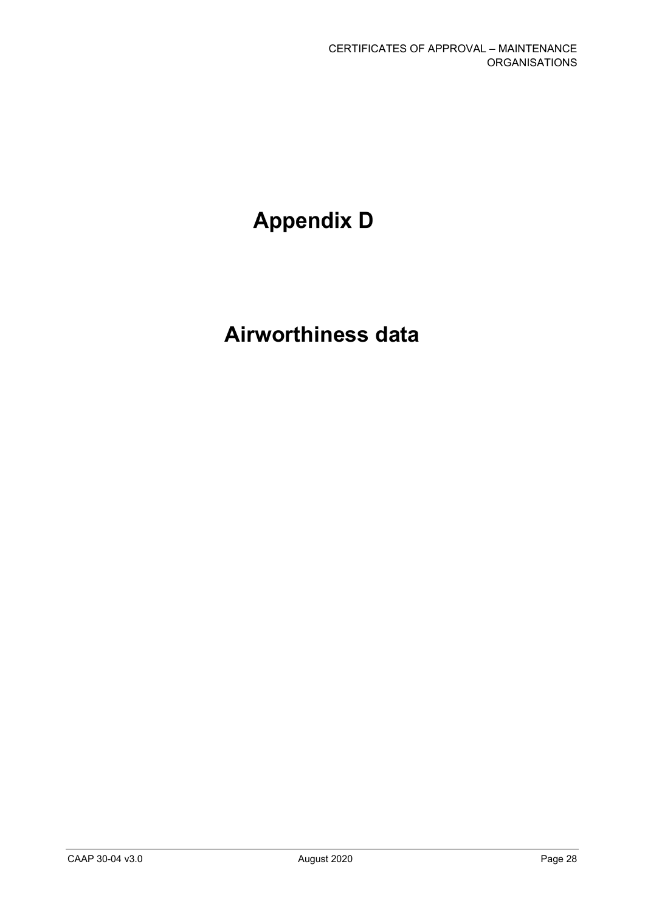# **Appendix D**

# **Airworthiness data**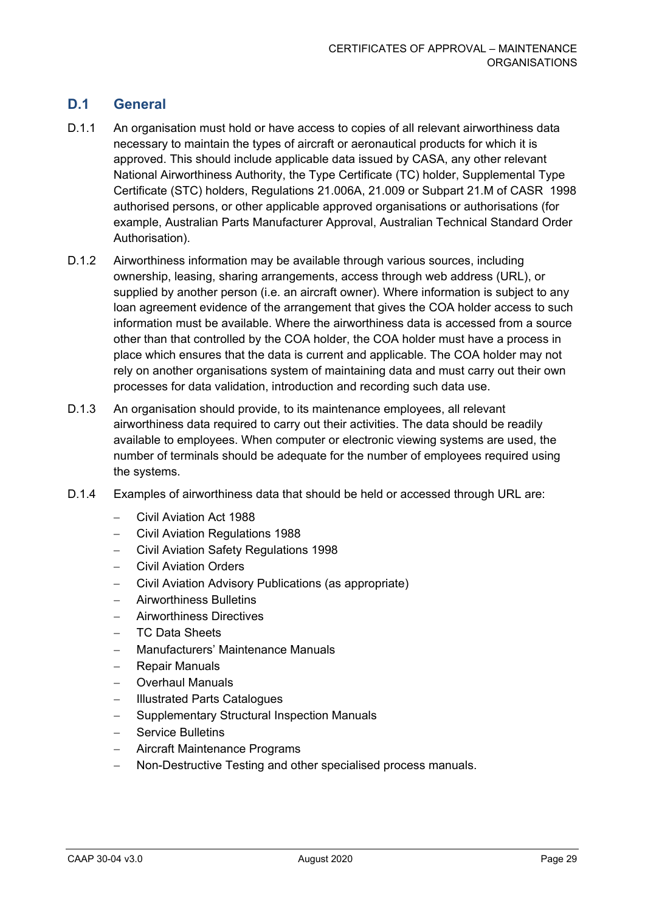# **D.1 General**

- D.1.1 An organisation must hold or have access to copies of all relevant airworthiness data necessary to maintain the types of aircraft or aeronautical products for which it is approved. This should include applicable data issued by CASA, any other relevant National Airworthiness Authority, the Type Certificate (TC) holder, Supplemental Type Certificate (STC) holders, Regulations 21.006A, 21.009 or Subpart 21.M of CASR 1998 authorised persons, or other applicable approved organisations or authorisations (for example, Australian Parts Manufacturer Approval, Australian Technical Standard Order Authorisation).
- D.1.2 Airworthiness information may be available through various sources, including ownership, leasing, sharing arrangements, access through web address (URL), or supplied by another person (i.e. an aircraft owner). Where information is subject to any loan agreement evidence of the arrangement that gives the COA holder access to such information must be available. Where the airworthiness data is accessed from a source other than that controlled by the COA holder, the COA holder must have a process in place which ensures that the data is current and applicable. The COA holder may not rely on another organisations system of maintaining data and must carry out their own processes for data validation, introduction and recording such data use.
- D.1.3 An organisation should provide, to its maintenance employees, all relevant airworthiness data required to carry out their activities. The data should be readily available to employees. When computer or electronic viewing systems are used, the number of terminals should be adequate for the number of employees required using the systems.
- D.1.4 Examples of airworthiness data that should be held or accessed through URL are:
	- − Civil Aviation Act 1988
	- − Civil Aviation Regulations 1988
	- − Civil Aviation Safety Regulations 1998
	- − Civil Aviation Orders
	- − Civil Aviation Advisory Publications (as appropriate)
	- − Airworthiness Bulletins
	- − Airworthiness Directives
	- − TC Data Sheets
	- − Manufacturers' Maintenance Manuals
	- − Repair Manuals
	- − Overhaul Manuals
	- − Illustrated Parts Catalogues
	- − Supplementary Structural Inspection Manuals
	- − Service Bulletins
	- − Aircraft Maintenance Programs
	- − Non-Destructive Testing and other specialised process manuals.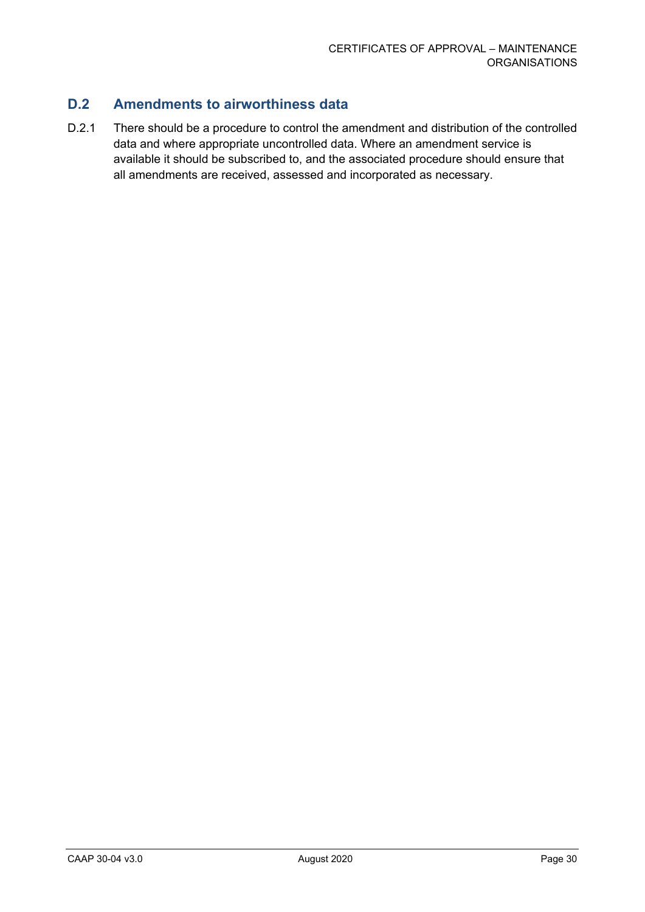# **D.2 Amendments to airworthiness data**

D.2.1 There should be a procedure to control the amendment and distribution of the controlled data and where appropriate uncontrolled data. Where an amendment service is available it should be subscribed to, and the associated procedure should ensure that all amendments are received, assessed and incorporated as necessary.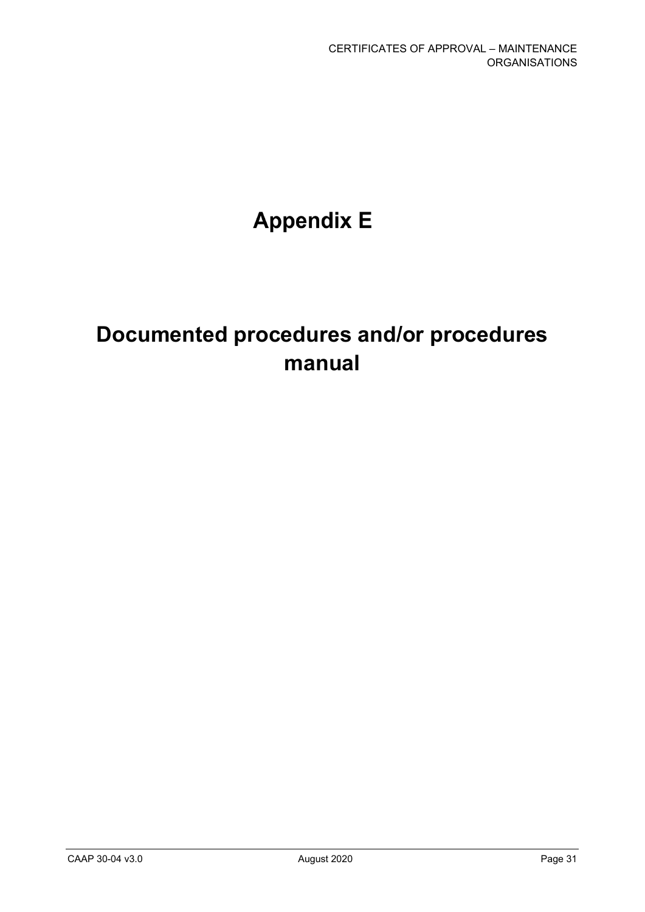# **Appendix E**

# **Documented procedures and/or procedures manual**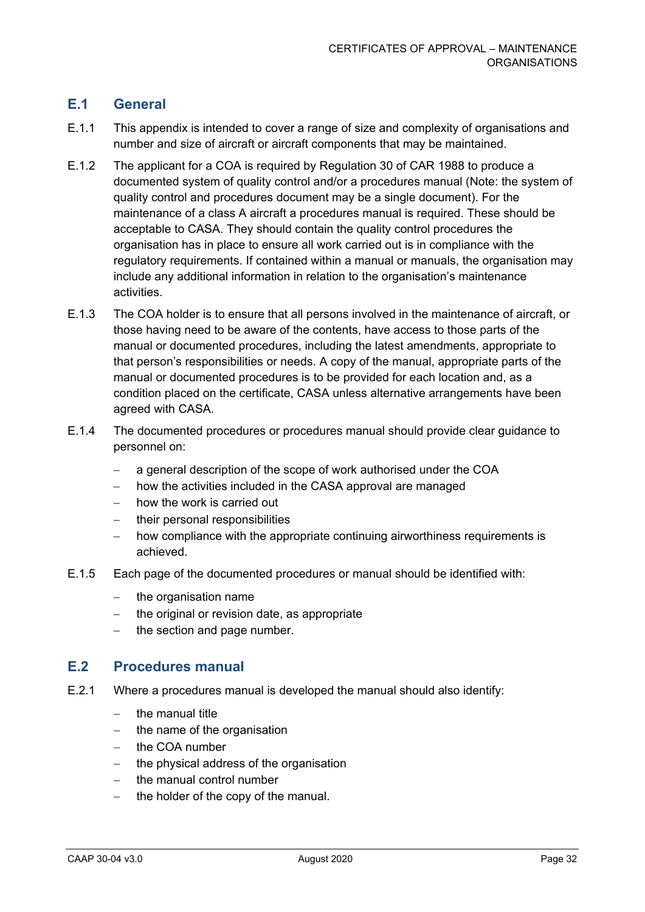# **E.1 General**

- E.1.1 This appendix is intended to cover a range of size and complexity of organisations and number and size of aircraft or aircraft components that may be maintained.
- E.1.2 The applicant for a COA is required by Regulation 30 of CAR 1988 to produce a documented system of quality control and/or a procedures manual (Note: the system of quality control and procedures document may be a single document). For the maintenance of a class A aircraft a procedures manual is required. These should be acceptable to CASA. They should contain the quality control procedures the organisation has in place to ensure all work carried out is in compliance with the regulatory requirements. If contained within a manual or manuals, the organisation may include any additional information in relation to the organisation's maintenance activities.
- E.1.3 The COA holder is to ensure that all persons involved in the maintenance of aircraft, or those having need to be aware of the contents, have access to those parts of the manual or documented procedures, including the latest amendments, appropriate to that person's responsibilities or needs. A copy of the manual, appropriate parts of the manual or documented procedures is to be provided for each location and, as a condition placed on the certificate, CASA unless alternative arrangements have been agreed with CASA.
- E.1.4 The documented procedures or procedures manual should provide clear guidance to personnel on:
	- − a general description of the scope of work authorised under the COA
	- how the activities included in the CASA approval are managed
	- − how the work is carried out
	- − their personal responsibilities
	- how compliance with the appropriate continuing airworthiness requirements is achieved.
- E.1.5 Each page of the documented procedures or manual should be identified with:
	- − the organisation name
	- − the original or revision date, as appropriate
	- the section and page number.

#### **E.2 Procedures manual**

- E.2.1 Where a procedures manual is developed the manual should also identify:
	- − the manual title
	- the name of the organisation
	- − the COA number
	- − the physical address of the organisation
	- − the manual control number
	- the holder of the copy of the manual.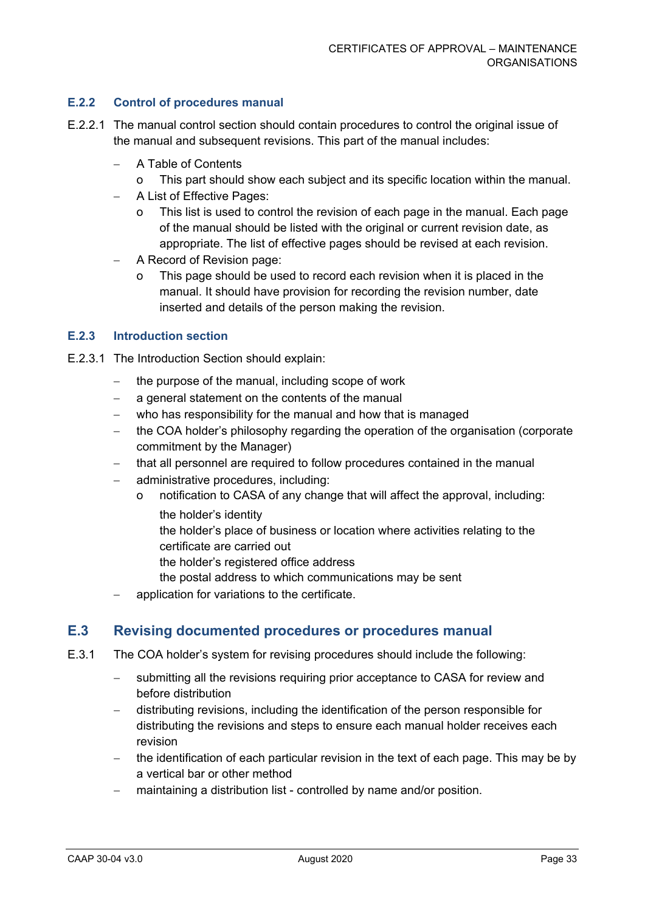#### **E.2.2 Control of procedures manual**

- E.2.2.1 The manual control section should contain procedures to control the original issue of the manual and subsequent revisions. This part of the manual includes:
	- − A Table of Contents
		- This part should show each subject and its specific location within the manual.
	- − A List of Effective Pages:
		- o This list is used to control the revision of each page in the manual. Each page of the manual should be listed with the original or current revision date, as appropriate. The list of effective pages should be revised at each revision.
	- − A Record of Revision page:
		- This page should be used to record each revision when it is placed in the manual. It should have provision for recording the revision number, date inserted and details of the person making the revision.

#### **E.2.3 Introduction section**

- E.2.3.1 The Introduction Section should explain:
	- − the purpose of the manual, including scope of work
	- − a general statement on the contents of the manual
	- who has responsibility for the manual and how that is managed
	- − the COA holder's philosophy regarding the operation of the organisation (corporate commitment by the Manager)
	- − that all personnel are required to follow procedures contained in the manual
	- − administrative procedures, including:
		- notification to CASA of any change that will affect the approval, including: the holder's identity
			- the holder's place of business or location where activities relating to the certificate are carried out
			- the holder's registered office address
			- the postal address to which communications may be sent
	- application for variations to the certificate.

#### **E.3 Revising documented procedures or procedures manual**

- E.3.1 The COA holder's system for revising procedures should include the following:
	- submitting all the revisions requiring prior acceptance to CASA for review and before distribution
	- − distributing revisions, including the identification of the person responsible for distributing the revisions and steps to ensure each manual holder receives each revision
	- − the identification of each particular revision in the text of each page. This may be by a vertical bar or other method
	- maintaining a distribution list controlled by name and/or position.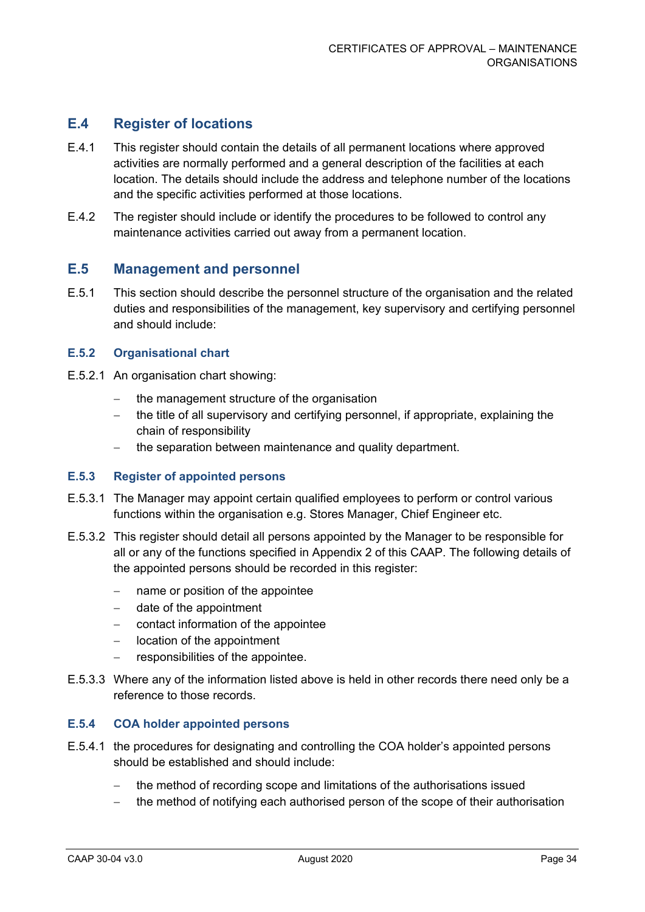## **E.4 Register of locations**

- E.4.1 This register should contain the details of all permanent locations where approved activities are normally performed and a general description of the facilities at each location. The details should include the address and telephone number of the locations and the specific activities performed at those locations.
- E.4.2 The register should include or identify the procedures to be followed to control any maintenance activities carried out away from a permanent location.

#### **E.5 Management and personnel**

E.5.1 This section should describe the personnel structure of the organisation and the related duties and responsibilities of the management, key supervisory and certifying personnel and should include:

#### **E.5.2 Organisational chart**

- E.5.2.1 An organisation chart showing:
	- − the management structure of the organisation
	- − the title of all supervisory and certifying personnel, if appropriate, explaining the chain of responsibility
	- − the separation between maintenance and quality department.

#### **E.5.3 Register of appointed persons**

- E.5.3.1 The Manager may appoint certain qualified employees to perform or control various functions within the organisation e.g. Stores Manager, Chief Engineer etc.
- E.5.3.2 This register should detail all persons appointed by the Manager to be responsible for all or any of the functions specified in Appendix 2 of this CAAP. The following details of the appointed persons should be recorded in this register:
	- − name or position of the appointee
	- date of the appointment
	- − contact information of the appointee
	- − location of the appointment
	- − responsibilities of the appointee.
- E.5.3.3 Where any of the information listed above is held in other records there need only be a reference to those records.

#### **E.5.4 COA holder appointed persons**

- E.5.4.1 the procedures for designating and controlling the COA holder's appointed persons should be established and should include:
	- the method of recording scope and limitations of the authorisations issued
	- the method of notifying each authorised person of the scope of their authorisation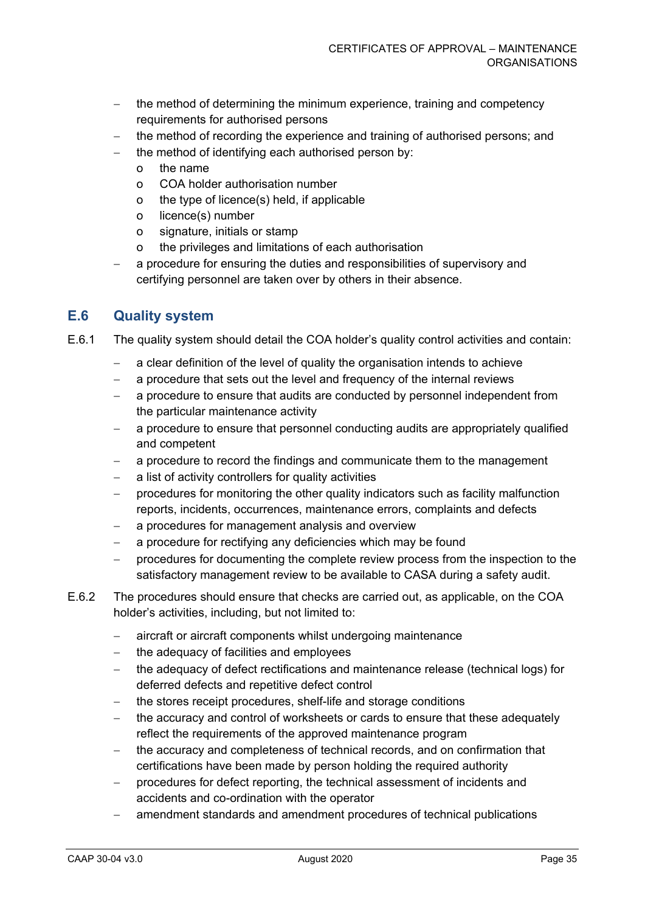- − the method of determining the minimum experience, training and competency requirements for authorised persons
- − the method of recording the experience and training of authorised persons; and
- the method of identifying each authorised person by:
	- o the name
	- o COA holder authorisation number
	- o the type of licence(s) held, if applicable
	- o licence(s) number
	- o signature, initials or stamp
	- o the privileges and limitations of each authorisation
- a procedure for ensuring the duties and responsibilities of supervisory and certifying personnel are taken over by others in their absence.

## **E.6 Quality system**

- E.6.1 The quality system should detail the COA holder's quality control activities and contain:
	- a clear definition of the level of quality the organisation intends to achieve
	- − a procedure that sets out the level and frequency of the internal reviews
	- a procedure to ensure that audits are conducted by personnel independent from the particular maintenance activity
	- − a procedure to ensure that personnel conducting audits are appropriately qualified and competent
	- a procedure to record the findings and communicate them to the management
	- − a list of activity controllers for quality activities
	- − procedures for monitoring the other quality indicators such as facility malfunction reports, incidents, occurrences, maintenance errors, complaints and defects
	- − a procedures for management analysis and overview
	- − a procedure for rectifying any deficiencies which may be found
	- − procedures for documenting the complete review process from the inspection to the satisfactory management review to be available to CASA during a safety audit.
- E.6.2 The procedures should ensure that checks are carried out, as applicable, on the COA holder's activities, including, but not limited to:
	- − aircraft or aircraft components whilst undergoing maintenance
	- − the adequacy of facilities and employees
	- the adequacy of defect rectifications and maintenance release (technical logs) for deferred defects and repetitive defect control
	- − the stores receipt procedures, shelf-life and storage conditions
	- the accuracy and control of worksheets or cards to ensure that these adequately reflect the requirements of the approved maintenance program
	- − the accuracy and completeness of technical records, and on confirmation that certifications have been made by person holding the required authority
	- − procedures for defect reporting, the technical assessment of incidents and accidents and co-ordination with the operator
	- amendment standards and amendment procedures of technical publications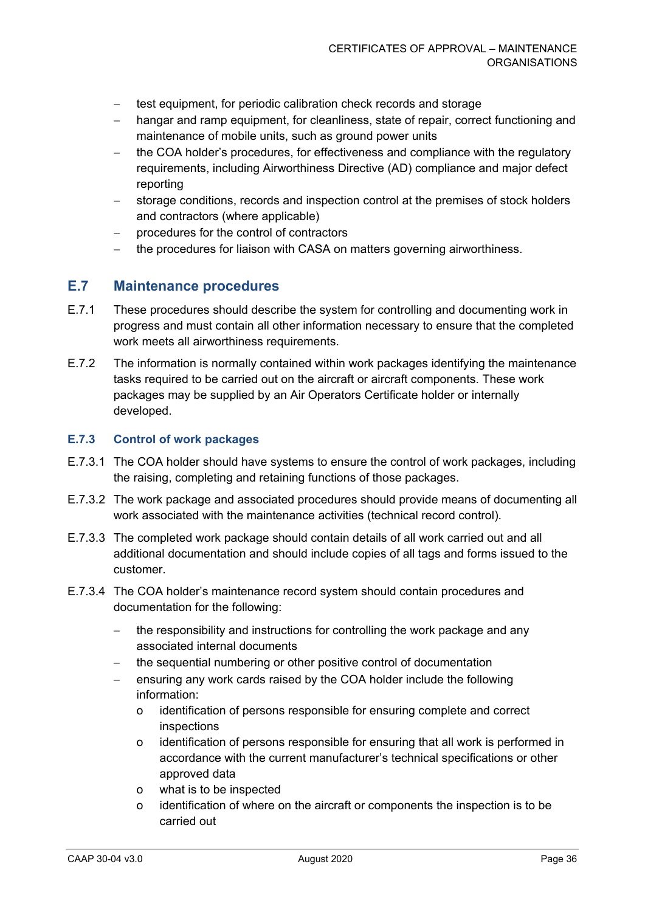- − test equipment, for periodic calibration check records and storage
- hangar and ramp equipment, for cleanliness, state of repair, correct functioning and maintenance of mobile units, such as ground power units
- the COA holder's procedures, for effectiveness and compliance with the regulatory requirements, including Airworthiness Directive (AD) compliance and major defect reporting
- storage conditions, records and inspection control at the premises of stock holders and contractors (where applicable)
- − procedures for the control of contractors
- the procedures for liaison with CASA on matters governing airworthiness.

### **E.7 Maintenance procedures**

- E.7.1 These procedures should describe the system for controlling and documenting work in progress and must contain all other information necessary to ensure that the completed work meets all airworthiness requirements.
- E.7.2 The information is normally contained within work packages identifying the maintenance tasks required to be carried out on the aircraft or aircraft components. These work packages may be supplied by an Air Operators Certificate holder or internally developed.

#### **E.7.3 Control of work packages**

- E.7.3.1 The COA holder should have systems to ensure the control of work packages, including the raising, completing and retaining functions of those packages.
- E.7.3.2 The work package and associated procedures should provide means of documenting all work associated with the maintenance activities (technical record control).
- E.7.3.3 The completed work package should contain details of all work carried out and all additional documentation and should include copies of all tags and forms issued to the customer.
- E.7.3.4 The COA holder's maintenance record system should contain procedures and documentation for the following:
	- − the responsibility and instructions for controlling the work package and any associated internal documents
	- the sequential numbering or other positive control of documentation
	- ensuring any work cards raised by the COA holder include the following information:
		- o identification of persons responsible for ensuring complete and correct inspections
		- o identification of persons responsible for ensuring that all work is performed in accordance with the current manufacturer's technical specifications or other approved data
		- o what is to be inspected
		- o identification of where on the aircraft or components the inspection is to be carried out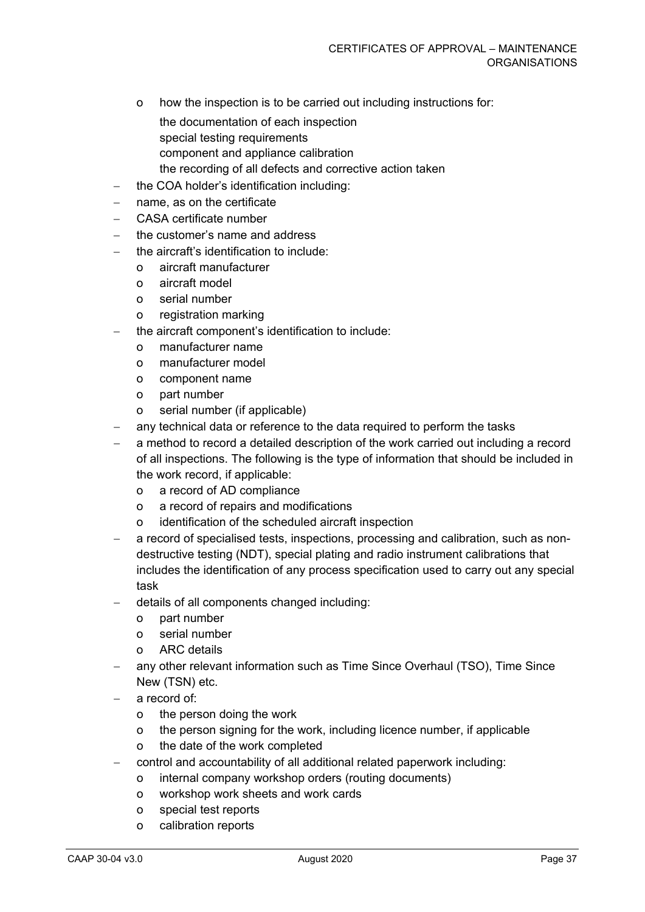- o how the inspection is to be carried out including instructions for:
	- the documentation of each inspection special testing requirements component and appliance calibration
- the recording of all defects and corrective action taken
- − the COA holder's identification including:
- − name, as on the certificate
- − CASA certificate number
- the customer's name and address
- the aircraft's identification to include:
	- o aircraft manufacturer
	- o aircraft model
	- o serial number
	- o registration marking
- the aircraft component's identification to include:
	- o manufacturer name
	- o manufacturer model
	- o component name
	- o part number
	- o serial number (if applicable)
- any technical data or reference to the data required to perform the tasks
- a method to record a detailed description of the work carried out including a record of all inspections. The following is the type of information that should be included in the work record, if applicable:
	- o a record of AD compliance
	- o a record of repairs and modifications
	- o identification of the scheduled aircraft inspection
- − a record of specialised tests, inspections, processing and calibration, such as nondestructive testing (NDT), special plating and radio instrument calibrations that includes the identification of any process specification used to carry out any special task
- − details of all components changed including:
	- o part number
	- o serial number
	- o ARC details
- any other relevant information such as Time Since Overhaul (TSO), Time Since New (TSN) etc.
- a record of:
	- o the person doing the work
	- o the person signing for the work, including licence number, if applicable
	- o the date of the work completed
- − control and accountability of all additional related paperwork including:
	- o internal company workshop orders (routing documents)
	- o workshop work sheets and work cards
	- o special test reports
	- o calibration reports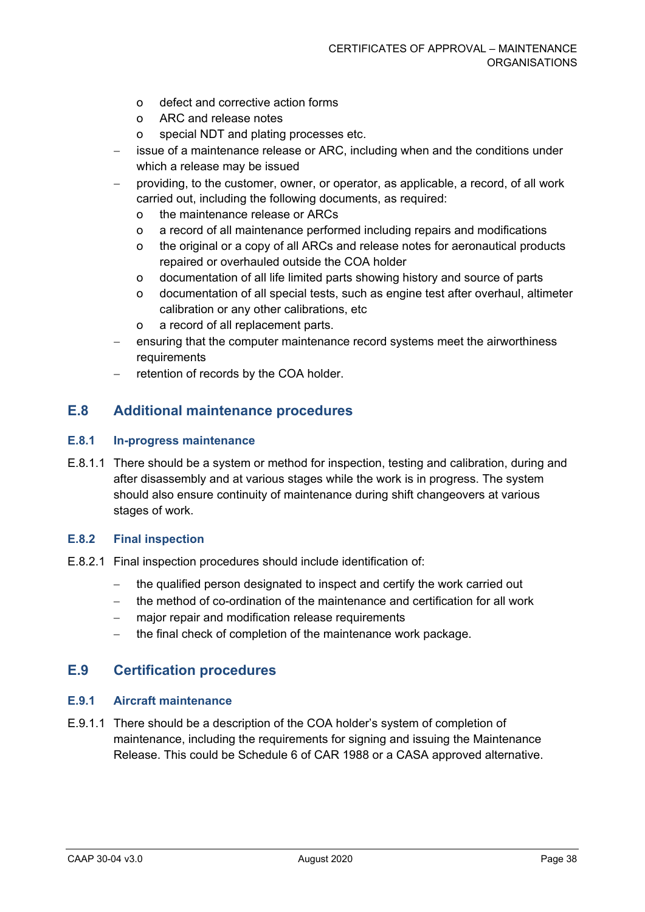- o defect and corrective action forms
- o ARC and release notes
- o special NDT and plating processes etc.
- issue of a maintenance release or ARC, including when and the conditions under which a release may be issued
- providing, to the customer, owner, or operator, as applicable, a record, of all work carried out, including the following documents, as required:
	- o the maintenance release or ARCs
	- o a record of all maintenance performed including repairs and modifications
	- o the original or a copy of all ARCs and release notes for aeronautical products repaired or overhauled outside the COA holder
	- o documentation of all life limited parts showing history and source of parts
	- o documentation of all special tests, such as engine test after overhaul, altimeter calibration or any other calibrations, etc
	- o a record of all replacement parts.
- ensuring that the computer maintenance record systems meet the airworthiness requirements
- retention of records by the COA holder.

#### **E.8 Additional maintenance procedures**

#### **E.8.1 In-progress maintenance**

E.8.1.1 There should be a system or method for inspection, testing and calibration, during and after disassembly and at various stages while the work is in progress. The system should also ensure continuity of maintenance during shift changeovers at various stages of work.

#### **E.8.2 Final inspection**

- E.8.2.1 Final inspection procedures should include identification of:
	- − the qualified person designated to inspect and certify the work carried out
	- − the method of co-ordination of the maintenance and certification for all work
	- major repair and modification release requirements
	- − the final check of completion of the maintenance work package.

#### **E.9 Certification procedures**

#### **E.9.1 Aircraft maintenance**

E.9.1.1 There should be a description of the COA holder's system of completion of maintenance, including the requirements for signing and issuing the Maintenance Release. This could be Schedule 6 of CAR 1988 or a CASA approved alternative.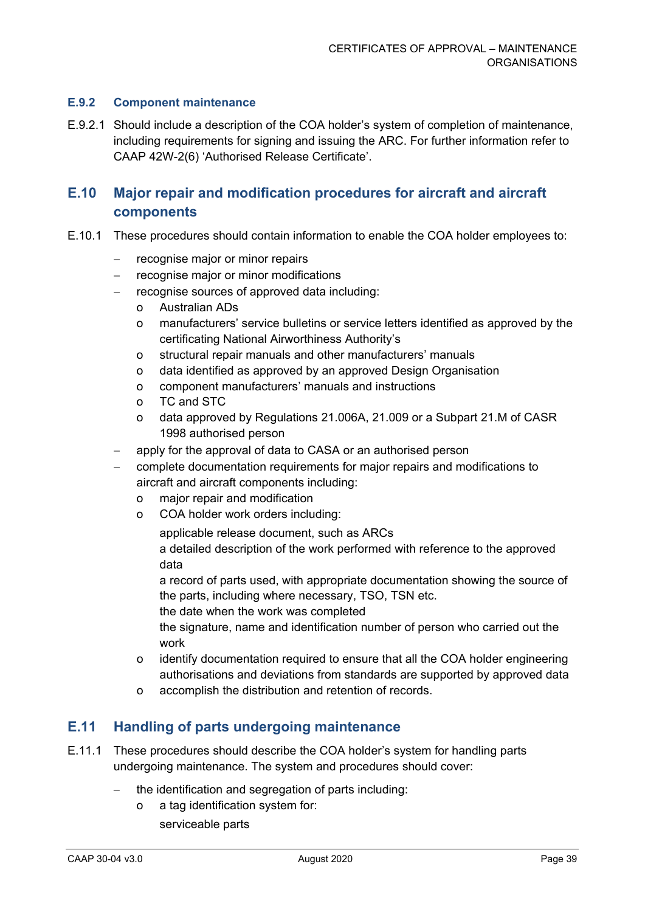#### **E.9.2 Component maintenance**

E.9.2.1 Should include a description of the COA holder's system of completion of maintenance, including requirements for signing and issuing the ARC. For further information refer to CAAP 42W-2(6) 'Authorised Release Certificate'.

# **E.10 Major repair and modification procedures for aircraft and aircraft components**

- E.10.1 These procedures should contain information to enable the COA holder employees to:
	- − recognise major or minor repairs
	- − recognise major or minor modifications
	- − recognise sources of approved data including:
		- o Australian ADs
		- o manufacturers' service bulletins or service letters identified as approved by the certificating National Airworthiness Authority's
		- o structural repair manuals and other manufacturers' manuals
		- o data identified as approved by an approved Design Organisation
		- o component manufacturers' manuals and instructions
		- o TC and STC
		- o data approved by Regulations 21.006A, 21.009 or a Subpart 21.M of CASR 1998 authorised person
	- apply for the approval of data to CASA or an authorised person
	- − complete documentation requirements for major repairs and modifications to aircraft and aircraft components including:
		- o major repair and modification
		- o COA holder work orders including:

applicable release document, such as ARCs

a detailed description of the work performed with reference to the approved data

a record of parts used, with appropriate documentation showing the source of the parts, including where necessary, TSO, TSN etc.

the date when the work was completed

the signature, name and identification number of person who carried out the work

- o identify documentation required to ensure that all the COA holder engineering authorisations and deviations from standards are supported by approved data
- o accomplish the distribution and retention of records.

#### **E.11 Handling of parts undergoing maintenance**

- E.11.1 These procedures should describe the COA holder's system for handling parts undergoing maintenance. The system and procedures should cover:
	- the identification and segregation of parts including:
		- o a tag identification system for: serviceable parts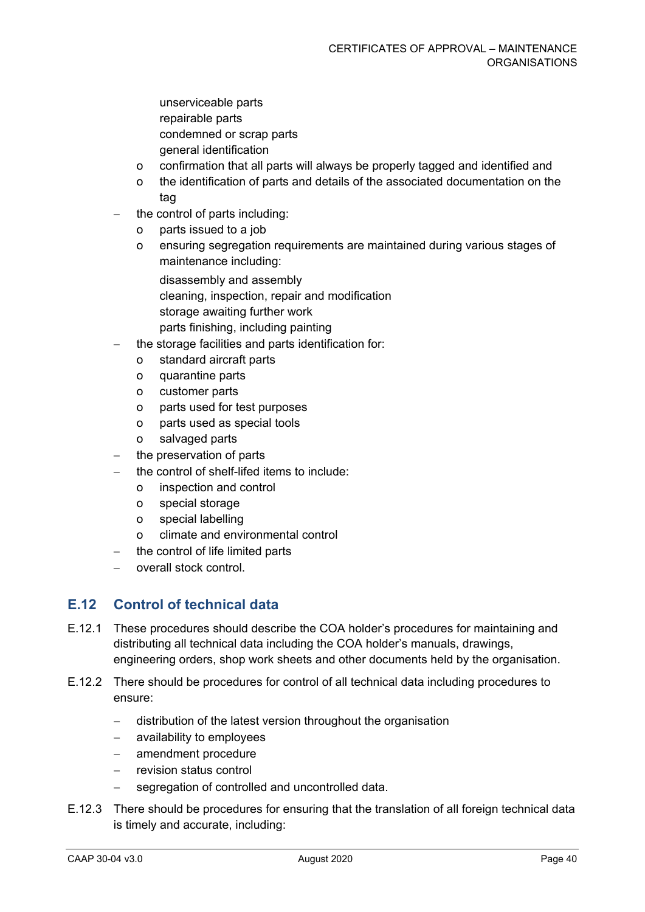- unserviceable parts repairable parts condemned or scrap parts general identification
- o confirmation that all parts will always be properly tagged and identified and
- o the identification of parts and details of the associated documentation on the tag
- the control of parts including:
	- o parts issued to a job
	- o ensuring segregation requirements are maintained during various stages of maintenance including:
		- disassembly and assembly cleaning, inspection, repair and modification storage awaiting further work
		- parts finishing, including painting
- the storage facilities and parts identification for:
	- o standard aircraft parts
	- o quarantine parts
	- o customer parts
	- o parts used for test purposes
	- o parts used as special tools
	- o salvaged parts
- the preservation of parts
- the control of shelf-lifed items to include:
	- o inspection and control
	- o special storage
	- o special labelling
	- o climate and environmental control
- − the control of life limited parts
- − overall stock control.

## **E.12 Control of technical data**

- E.12.1 These procedures should describe the COA holder's procedures for maintaining and distributing all technical data including the COA holder's manuals, drawings, engineering orders, shop work sheets and other documents held by the organisation.
- E.12.2 There should be procedures for control of all technical data including procedures to ensure:
	- − distribution of the latest version throughout the organisation
	- − availability to employees
	- amendment procedure
	- − revision status control
	- − segregation of controlled and uncontrolled data.
- E.12.3 There should be procedures for ensuring that the translation of all foreign technical data is timely and accurate, including: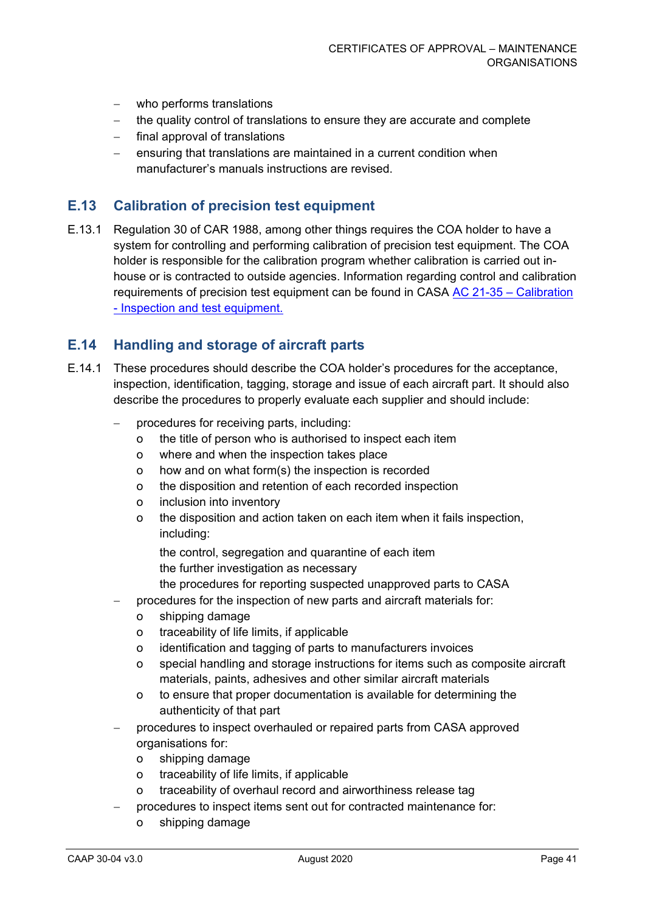- − who performs translations
- − the quality control of translations to ensure they are accurate and complete
- − final approval of translations
- ensuring that translations are maintained in a current condition when manufacturer's manuals instructions are revised.

#### **E.13 Calibration of precision test equipment**

E.13.1 Regulation 30 of CAR 1988, among other things requires the COA holder to have a system for controlling and performing calibration of precision test equipment. The COA holder is responsible for the calibration program whether calibration is carried out inhouse or is contracted to outside agencies. Information regarding control and calibration requirements of precision test equipment can be found in CASA AC 21-35 – [Calibration](http://www.casa.gov.au/scripts/nc.dll?WCMS:STANDARD::pc=PC_93375)  - [Inspection and test equipment.](http://www.casa.gov.au/scripts/nc.dll?WCMS:STANDARD::pc=PC_93375) 

### **E.14 Handling and storage of aircraft parts**

- E.14.1 These procedures should describe the COA holder's procedures for the acceptance, inspection, identification, tagging, storage and issue of each aircraft part. It should also describe the procedures to properly evaluate each supplier and should include:
	- − procedures for receiving parts, including:
		- o the title of person who is authorised to inspect each item
		- o where and when the inspection takes place
		- o how and on what form(s) the inspection is recorded
		- o the disposition and retention of each recorded inspection
		- o inclusion into inventory
		- o the disposition and action taken on each item when it fails inspection, including:
			- the control, segregation and quarantine of each item the further investigation as necessary
			- the procedures for reporting suspected unapproved parts to CASA
	- − procedures for the inspection of new parts and aircraft materials for:
		- o shipping damage
		- o traceability of life limits, if applicable
		- o identification and tagging of parts to manufacturers invoices
		- o special handling and storage instructions for items such as composite aircraft materials, paints, adhesives and other similar aircraft materials
		- o to ensure that proper documentation is available for determining the authenticity of that part
	- procedures to inspect overhauled or repaired parts from CASA approved organisations for:
		- o shipping damage
		- o traceability of life limits, if applicable
		- o traceability of overhaul record and airworthiness release tag
	- procedures to inspect items sent out for contracted maintenance for:
		- o shipping damage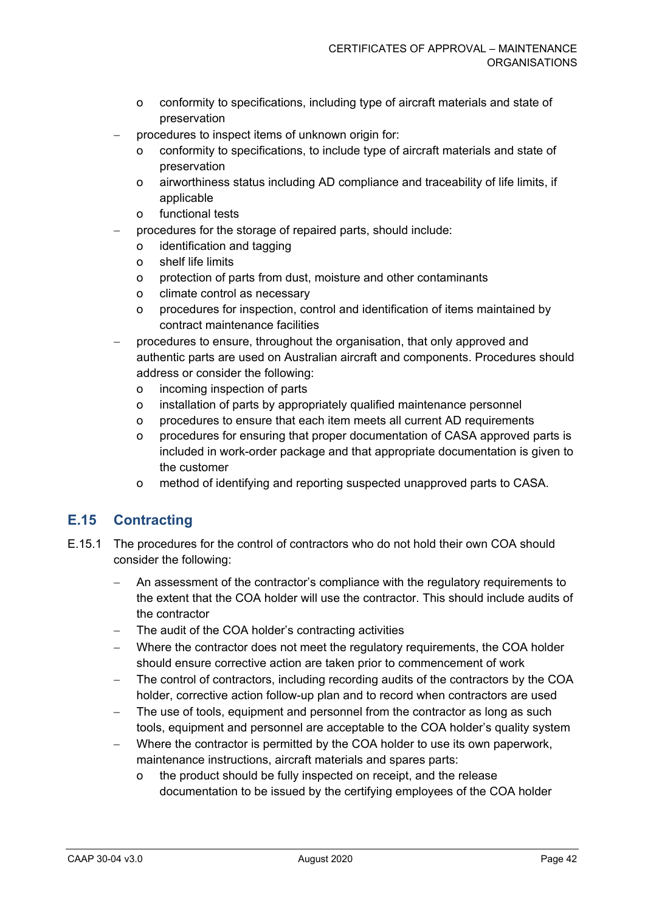- o conformity to specifications, including type of aircraft materials and state of preservation
- procedures to inspect items of unknown origin for:
	- o conformity to specifications, to include type of aircraft materials and state of preservation
	- o airworthiness status including AD compliance and traceability of life limits, if applicable
	- o functional tests
- procedures for the storage of repaired parts, should include:
	- o identification and tagging
	- o shelf life limits
	- o protection of parts from dust, moisture and other contaminants
	- o climate control as necessary
	- o procedures for inspection, control and identification of items maintained by contract maintenance facilities
- − procedures to ensure, throughout the organisation, that only approved and authentic parts are used on Australian aircraft and components. Procedures should address or consider the following:
	- o incoming inspection of parts
	- o installation of parts by appropriately qualified maintenance personnel
	- o procedures to ensure that each item meets all current AD requirements
	- o procedures for ensuring that proper documentation of CASA approved parts is included in work-order package and that appropriate documentation is given to the customer
	- o method of identifying and reporting suspected unapproved parts to CASA.

# **E.15 Contracting**

- E.15.1 The procedures for the control of contractors who do not hold their own COA should consider the following:
	- An assessment of the contractor's compliance with the regulatory requirements to the extent that the COA holder will use the contractor. This should include audits of the contractor
	- The audit of the COA holder's contracting activities
	- − Where the contractor does not meet the regulatory requirements, the COA holder should ensure corrective action are taken prior to commencement of work
	- The control of contractors, including recording audits of the contractors by the COA holder, corrective action follow-up plan and to record when contractors are used
	- The use of tools, equipment and personnel from the contractor as long as such tools, equipment and personnel are acceptable to the COA holder's quality system
	- − Where the contractor is permitted by the COA holder to use its own paperwork, maintenance instructions, aircraft materials and spares parts:
		- o the product should be fully inspected on receipt, and the release documentation to be issued by the certifying employees of the COA holder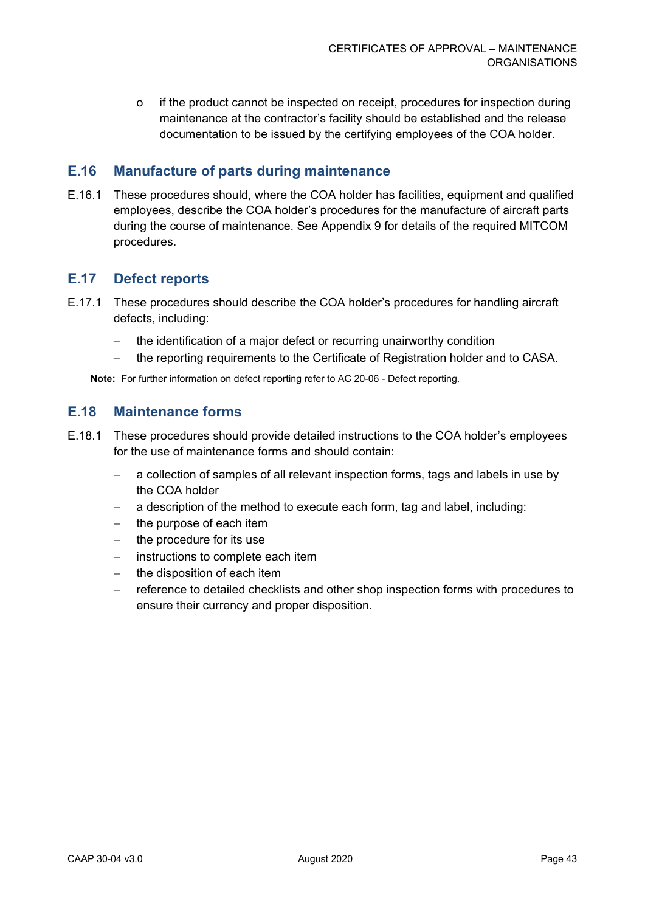o if the product cannot be inspected on receipt, procedures for inspection during maintenance at the contractor's facility should be established and the release documentation to be issued by the certifying employees of the COA holder.

## **E.16 Manufacture of parts during maintenance**

E.16.1 These procedures should, where the COA holder has facilities, equipment and qualified employees, describe the COA holder's procedures for the manufacture of aircraft parts during the course of maintenance. See Appendix 9 for details of the required MITCOM procedures.

## **E.17 Defect reports**

- E.17.1 These procedures should describe the COA holder's procedures for handling aircraft defects, including:
	- − the identification of a major defect or recurring unairworthy condition
	- − the reporting requirements to the Certificate of Registration holder and to CASA.

**Note:** For further information on defect reporting refer to AC 20-06 - Defect reporting.

### **E.18 Maintenance forms**

- E.18.1 These procedures should provide detailed instructions to the COA holder's employees for the use of maintenance forms and should contain:
	- a collection of samples of all relevant inspection forms, tags and labels in use by the COA holder
	- − a description of the method to execute each form, tag and label, including:
	- the purpose of each item
	- − the procedure for its use
	- − instructions to complete each item
	- − the disposition of each item
	- reference to detailed checklists and other shop inspection forms with procedures to ensure their currency and proper disposition.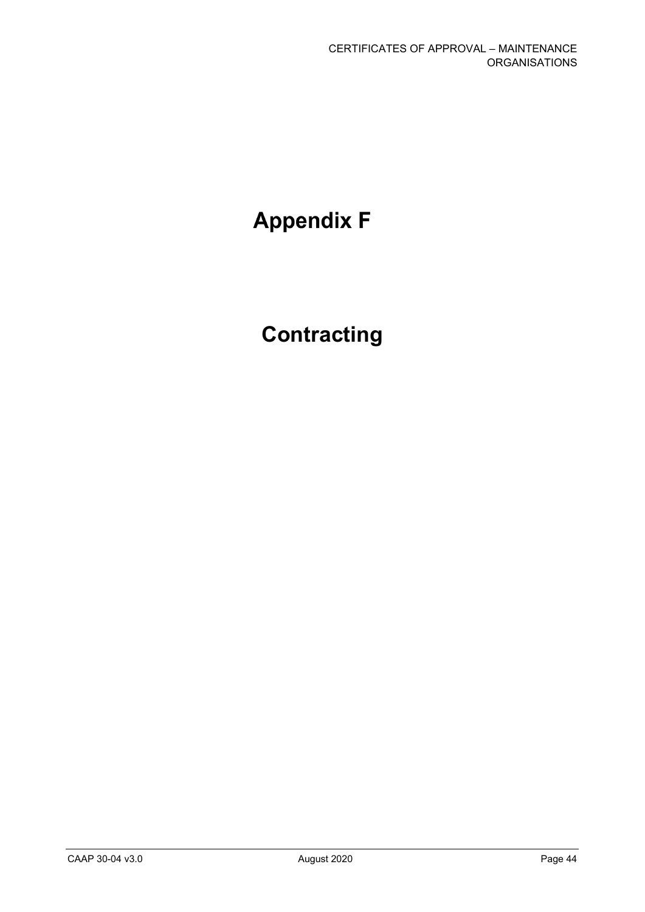# **Appendix F**

# **Contracting**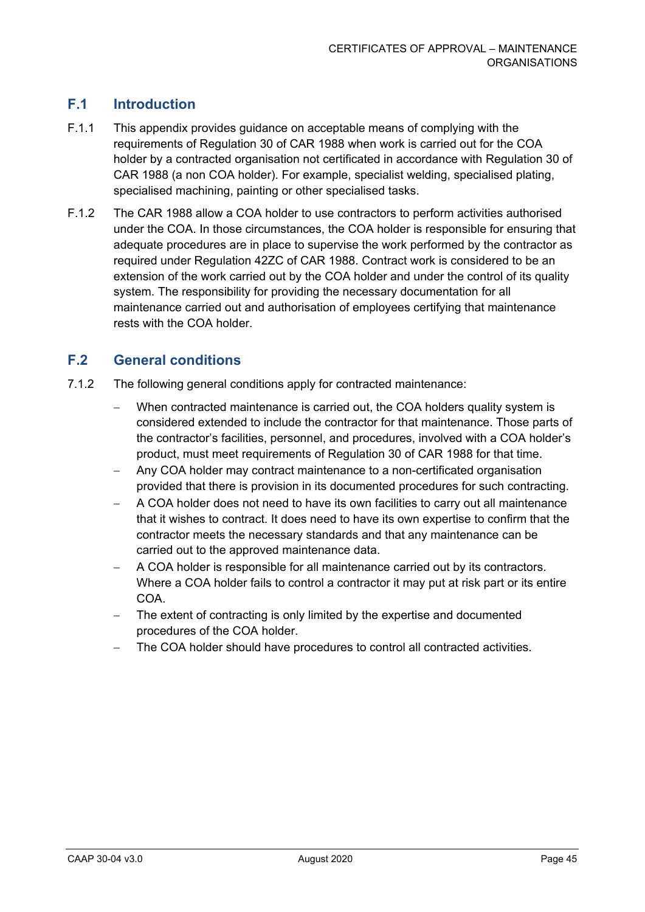# **F.1 Introduction**

- F.1.1 This appendix provides guidance on acceptable means of complying with the requirements of Regulation 30 of CAR 1988 when work is carried out for the COA holder by a contracted organisation not certificated in accordance with Regulation 30 of CAR 1988 (a non COA holder). For example, specialist welding, specialised plating, specialised machining, painting or other specialised tasks.
- F.1.2 The CAR 1988 allow a COA holder to use contractors to perform activities authorised under the COA. In those circumstances, the COA holder is responsible for ensuring that adequate procedures are in place to supervise the work performed by the contractor as required under Regulation 42ZC of CAR 1988. Contract work is considered to be an extension of the work carried out by the COA holder and under the control of its quality system. The responsibility for providing the necessary documentation for all maintenance carried out and authorisation of employees certifying that maintenance rests with the COA holder.

# **F.2 General conditions**

- 7.1.2 The following general conditions apply for contracted maintenance:
	- When contracted maintenance is carried out, the COA holders quality system is considered extended to include the contractor for that maintenance. Those parts of the contractor's facilities, personnel, and procedures, involved with a COA holder's product, must meet requirements of Regulation 30 of CAR 1988 for that time.
	- − Any COA holder may contract maintenance to a non-certificated organisation provided that there is provision in its documented procedures for such contracting.
	- − A COA holder does not need to have its own facilities to carry out all maintenance that it wishes to contract. It does need to have its own expertise to confirm that the contractor meets the necessary standards and that any maintenance can be carried out to the approved maintenance data.
	- − A COA holder is responsible for all maintenance carried out by its contractors. Where a COA holder fails to control a contractor it may put at risk part or its entire COA.
	- The extent of contracting is only limited by the expertise and documented procedures of the COA holder.
	- − The COA holder should have procedures to control all contracted activities.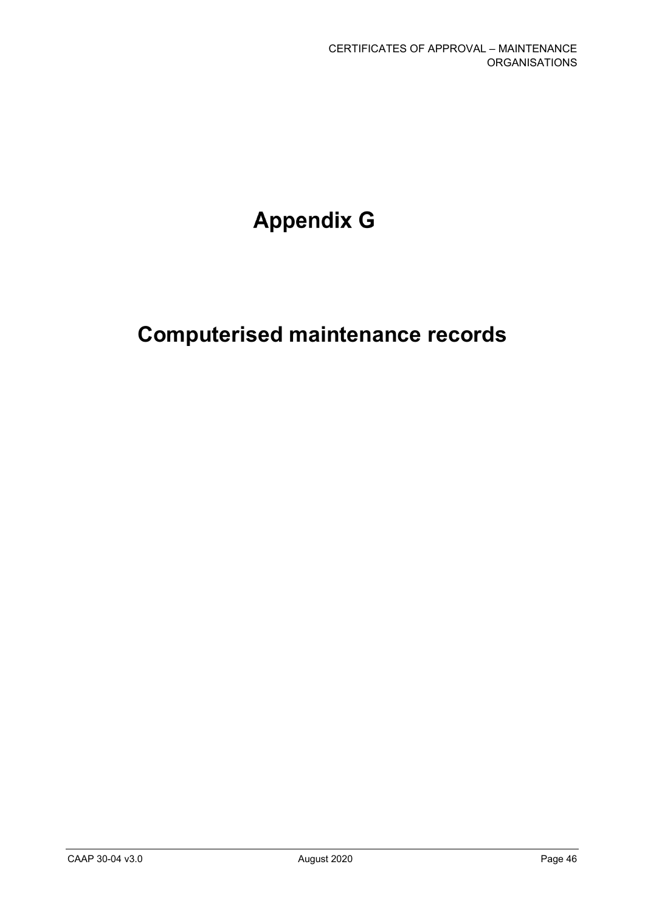# **Appendix G**

# **Computerised maintenance records**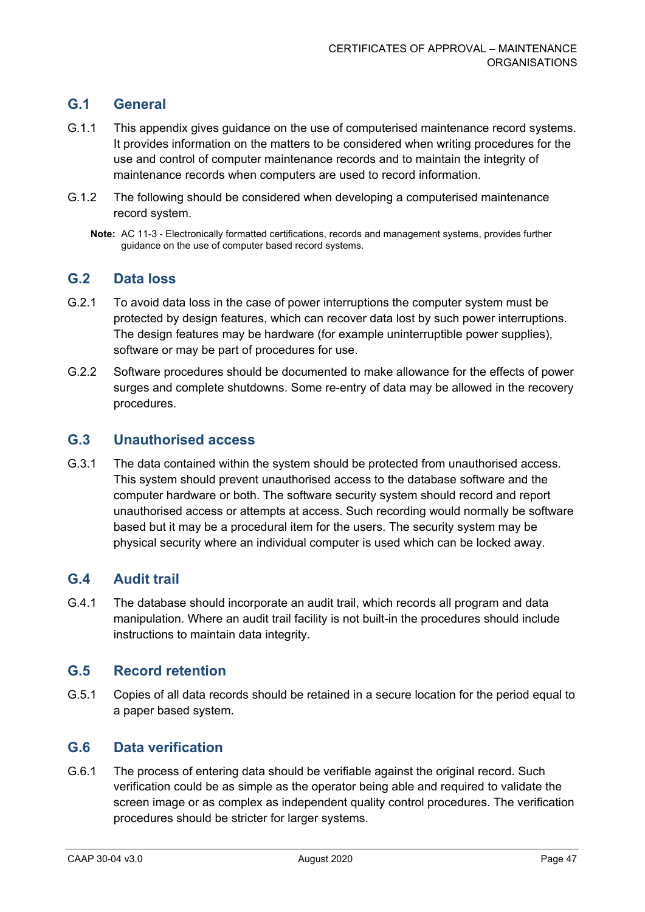## **G.1 General**

- G.1.1 This appendix gives guidance on the use of computerised maintenance record systems. It provides information on the matters to be considered when writing procedures for the use and control of computer maintenance records and to maintain the integrity of maintenance records when computers are used to record information.
- G.1.2 The following should be considered when developing a computerised maintenance record system.
	- **Note:** AC 11-3 Electronically formatted certifications, records and management systems, provides further guidance on the use of computer based record systems.

## **G.2 Data loss**

- G.2.1 To avoid data loss in the case of power interruptions the computer system must be protected by design features, which can recover data lost by such power interruptions. The design features may be hardware (for example uninterruptible power supplies), software or may be part of procedures for use.
- G.2.2 Software procedures should be documented to make allowance for the effects of power surges and complete shutdowns. Some re-entry of data may be allowed in the recovery procedures.

### **G.3 Unauthorised access**

G.3.1 The data contained within the system should be protected from unauthorised access. This system should prevent unauthorised access to the database software and the computer hardware or both. The software security system should record and report unauthorised access or attempts at access. Such recording would normally be software based but it may be a procedural item for the users. The security system may be physical security where an individual computer is used which can be locked away.

## **G.4 Audit trail**

G.4.1 The database should incorporate an audit trail, which records all program and data manipulation. Where an audit trail facility is not built-in the procedures should include instructions to maintain data integrity.

### **G.5 Record retention**

G.5.1 Copies of all data records should be retained in a secure location for the period equal to a paper based system.

#### **G.6 Data verification**

G.6.1 The process of entering data should be verifiable against the original record. Such verification could be as simple as the operator being able and required to validate the screen image or as complex as independent quality control procedures. The verification procedures should be stricter for larger systems.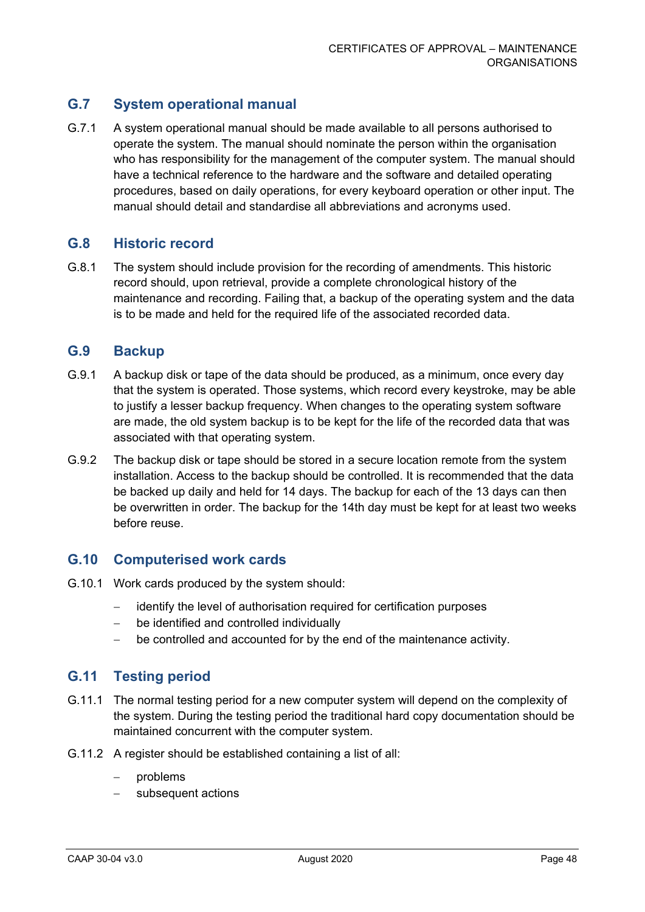# **G.7 System operational manual**

G.7.1 A system operational manual should be made available to all persons authorised to operate the system. The manual should nominate the person within the organisation who has responsibility for the management of the computer system. The manual should have a technical reference to the hardware and the software and detailed operating procedures, based on daily operations, for every keyboard operation or other input. The manual should detail and standardise all abbreviations and acronyms used.

### **G.8 Historic record**

G.8.1 The system should include provision for the recording of amendments. This historic record should, upon retrieval, provide a complete chronological history of the maintenance and recording. Failing that, a backup of the operating system and the data is to be made and held for the required life of the associated recorded data.

#### **G.9 Backup**

- G.9.1 A backup disk or tape of the data should be produced, as a minimum, once every day that the system is operated. Those systems, which record every keystroke, may be able to justify a lesser backup frequency. When changes to the operating system software are made, the old system backup is to be kept for the life of the recorded data that was associated with that operating system.
- G.9.2 The backup disk or tape should be stored in a secure location remote from the system installation. Access to the backup should be controlled. It is recommended that the data be backed up daily and held for 14 days. The backup for each of the 13 days can then be overwritten in order. The backup for the 14th day must be kept for at least two weeks before reuse.

#### **G.10 Computerised work cards**

- G.10.1 Work cards produced by the system should:
	- identify the level of authorisation required for certification purposes
	- − be identified and controlled individually
	- − be controlled and accounted for by the end of the maintenance activity.

## **G.11 Testing period**

- G.11.1 The normal testing period for a new computer system will depend on the complexity of the system. During the testing period the traditional hard copy documentation should be maintained concurrent with the computer system.
- G.11.2 A register should be established containing a list of all:
	- − problems
	- subsequent actions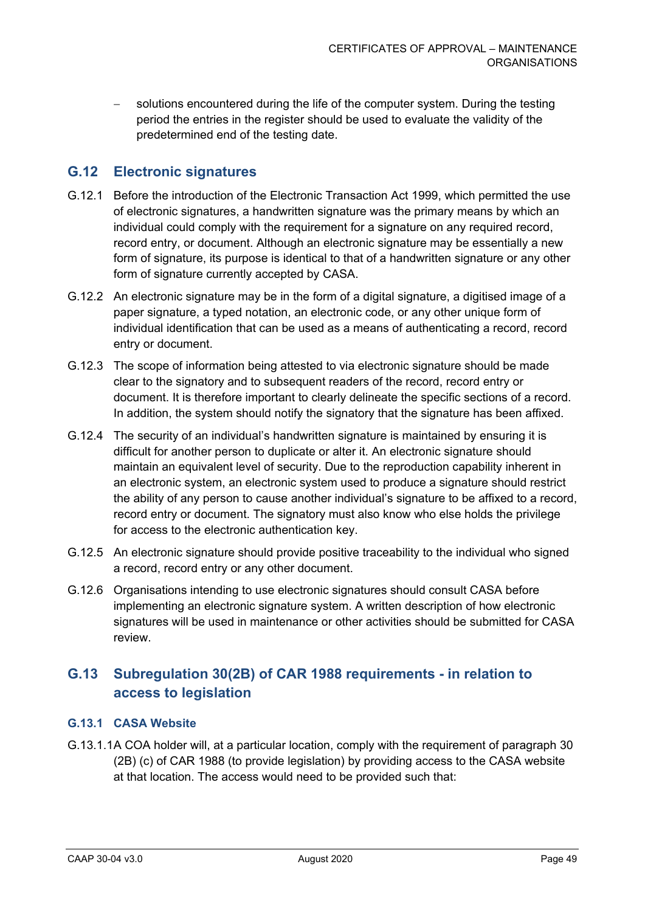solutions encountered during the life of the computer system. During the testing period the entries in the register should be used to evaluate the validity of the predetermined end of the testing date.

### **G.12 Electronic signatures**

- G.12.1 Before the introduction of the Electronic Transaction Act 1999, which permitted the use of electronic signatures, a handwritten signature was the primary means by which an individual could comply with the requirement for a signature on any required record, record entry, or document. Although an electronic signature may be essentially a new form of signature, its purpose is identical to that of a handwritten signature or any other form of signature currently accepted by CASA.
- G.12.2 An electronic signature may be in the form of a digital signature, a digitised image of a paper signature, a typed notation, an electronic code, or any other unique form of individual identification that can be used as a means of authenticating a record, record entry or document.
- G.12.3 The scope of information being attested to via electronic signature should be made clear to the signatory and to subsequent readers of the record, record entry or document. It is therefore important to clearly delineate the specific sections of a record. In addition, the system should notify the signatory that the signature has been affixed.
- G.12.4 The security of an individual's handwritten signature is maintained by ensuring it is difficult for another person to duplicate or alter it. An electronic signature should maintain an equivalent level of security. Due to the reproduction capability inherent in an electronic system, an electronic system used to produce a signature should restrict the ability of any person to cause another individual's signature to be affixed to a record, record entry or document. The signatory must also know who else holds the privilege for access to the electronic authentication key.
- G.12.5 An electronic signature should provide positive traceability to the individual who signed a record, record entry or any other document.
- G.12.6 Organisations intending to use electronic signatures should consult CASA before implementing an electronic signature system. A written description of how electronic signatures will be used in maintenance or other activities should be submitted for CASA review.

# **G.13 Subregulation 30(2B) of CAR 1988 requirements - in relation to access to legislation**

#### **G.13.1 CASA Website**

G.13.1.1A COA holder will, at a particular location, comply with the requirement of paragraph 30 (2B) (c) of CAR 1988 (to provide legislation) by providing access to the CASA website at that location. The access would need to be provided such that: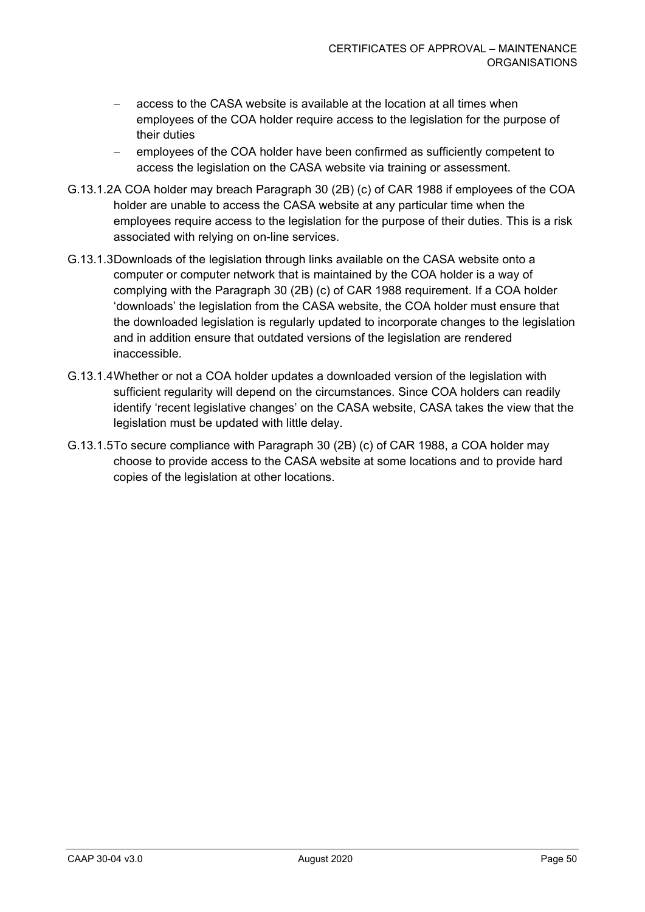- access to the CASA website is available at the location at all times when employees of the COA holder require access to the legislation for the purpose of their duties
- employees of the COA holder have been confirmed as sufficiently competent to access the legislation on the CASA website via training or assessment.
- G.13.1.2A COA holder may breach Paragraph 30 (2B) (c) of CAR 1988 if employees of the COA holder are unable to access the CASA website at any particular time when the employees require access to the legislation for the purpose of their duties. This is a risk associated with relying on on-line services.
- G.13.1.3Downloads of the legislation through links available on the CASA website onto a computer or computer network that is maintained by the COA holder is a way of complying with the Paragraph 30 (2B) (c) of CAR 1988 requirement. If a COA holder 'downloads' the legislation from the CASA website, the COA holder must ensure that the downloaded legislation is regularly updated to incorporate changes to the legislation and in addition ensure that outdated versions of the legislation are rendered inaccessible.
- G.13.1.4Whether or not a COA holder updates a downloaded version of the legislation with sufficient regularity will depend on the circumstances. Since COA holders can readily identify 'recent legislative changes' on the CASA website, CASA takes the view that the legislation must be updated with little delay.
- G.13.1.5To secure compliance with Paragraph 30 (2B) (c) of CAR 1988, a COA holder may choose to provide access to the CASA website at some locations and to provide hard copies of the legislation at other locations.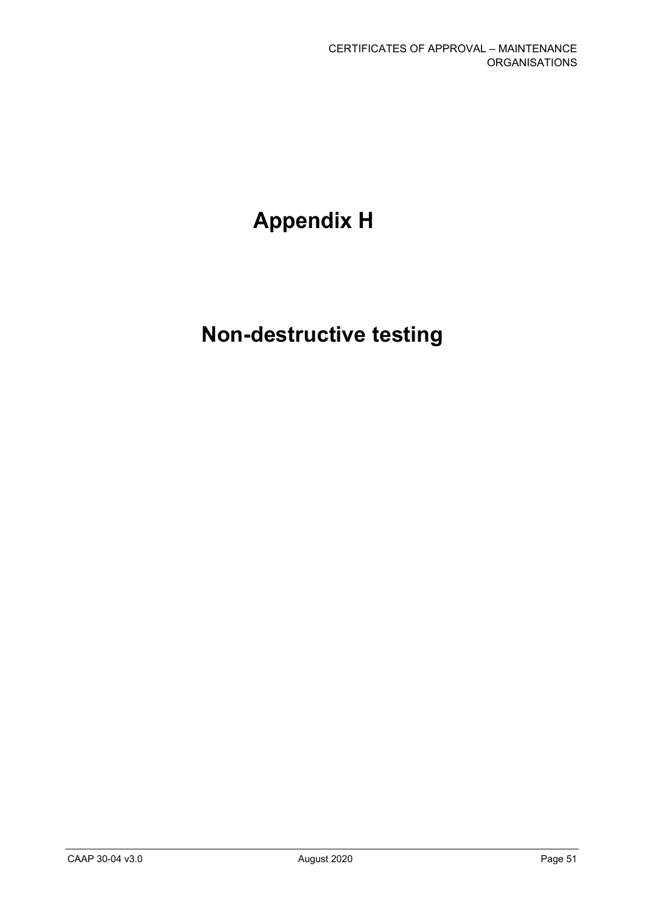# **Appendix H**

# **Non-destructive testing**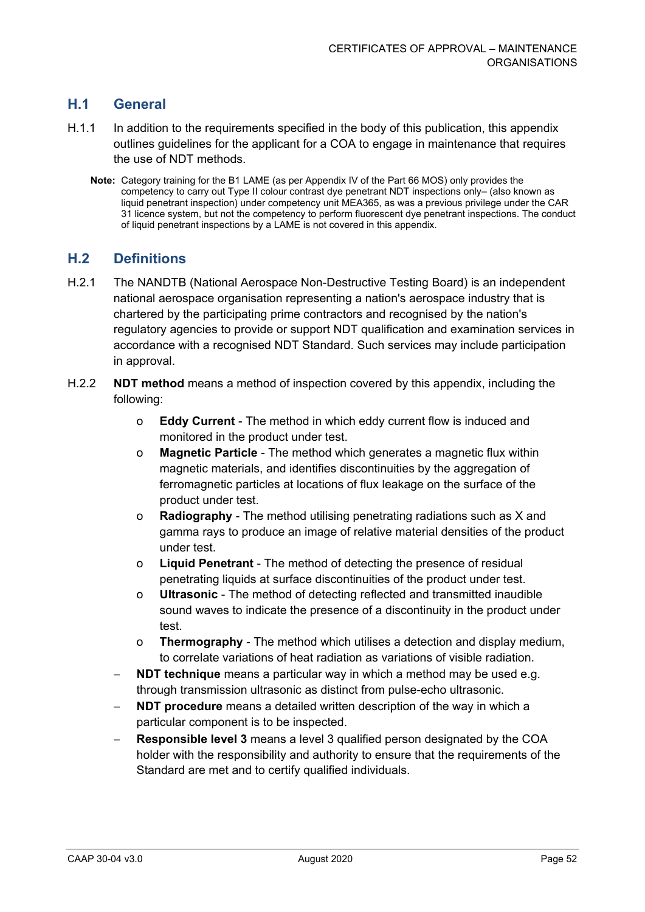# **H.1 General**

- H.1.1 In addition to the requirements specified in the body of this publication, this appendix outlines guidelines for the applicant for a COA to engage in maintenance that requires the use of NDT methods.
	- **Note:** Category training for the B1 LAME (as per Appendix IV of the Part 66 MOS) only provides the competency to carry out Type II colour contrast dye penetrant NDT inspections only– (also known as liquid penetrant inspection) under competency unit MEA365, as was a previous privilege under the CAR 31 licence system, but not the competency to perform fluorescent dye penetrant inspections. The conduct of liquid penetrant inspections by a LAME is not covered in this appendix.

## **H.2 Definitions**

- H.2.1 The NANDTB (National Aerospace Non-Destructive Testing Board) is an independent national aerospace organisation representing a nation's aerospace industry that is chartered by the participating prime contractors and recognised by the nation's regulatory agencies to provide or support NDT qualification and examination services in accordance with a recognised NDT Standard. Such services may include participation in approval.
- H.2.2 **NDT method** means a method of inspection covered by this appendix, including the following:
	- o **Eddy Current** The method in which eddy current flow is induced and monitored in the product under test.
	- o **Magnetic Particle** The method which generates a magnetic flux within magnetic materials, and identifies discontinuities by the aggregation of ferromagnetic particles at locations of flux leakage on the surface of the product under test.
	- o **Radiography** The method utilising penetrating radiations such as X and gamma rays to produce an image of relative material densities of the product under test.
	- o **Liquid Penetrant** The method of detecting the presence of residual penetrating liquids at surface discontinuities of the product under test.
	- o **Ultrasonic** The method of detecting reflected and transmitted inaudible sound waves to indicate the presence of a discontinuity in the product under test.
	- o **Thermography** The method which utilises a detection and display medium, to correlate variations of heat radiation as variations of visible radiation.
	- **NDT technique** means a particular way in which a method may be used e.g. through transmission ultrasonic as distinct from pulse-echo ultrasonic.
	- **NDT procedure** means a detailed written description of the way in which a particular component is to be inspected.
	- **Responsible level 3** means a level 3 qualified person designated by the COA holder with the responsibility and authority to ensure that the requirements of the Standard are met and to certify qualified individuals.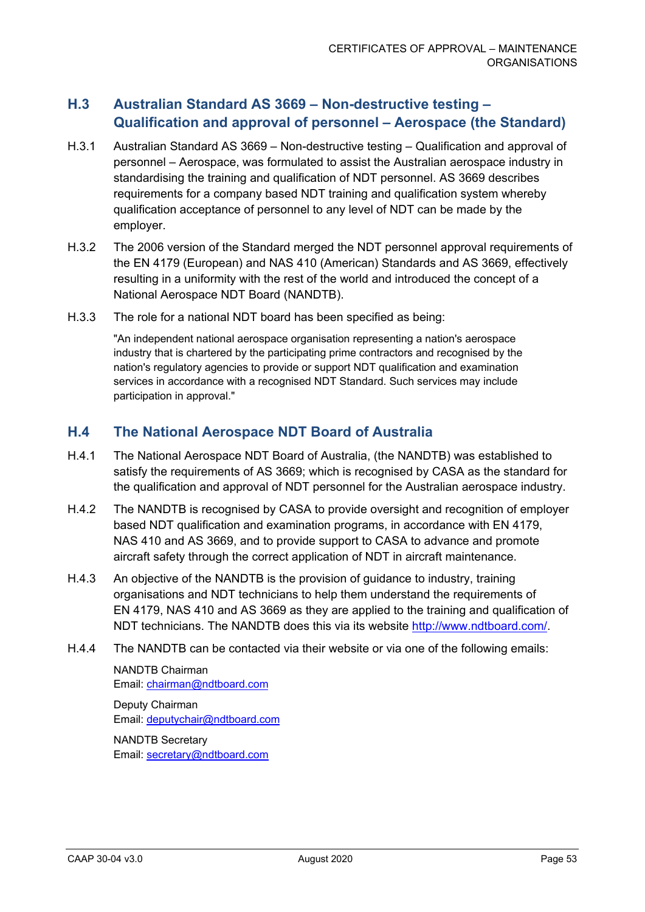# **H.3 Australian Standard AS 3669 – Non-destructive testing – Qualification and approval of personnel – Aerospace (the Standard)**

- H.3.1 Australian Standard AS 3669 Non-destructive testing Qualification and approval of personnel – Aerospace, was formulated to assist the Australian aerospace industry in standardising the training and qualification of NDT personnel. AS 3669 describes requirements for a company based NDT training and qualification system whereby qualification acceptance of personnel to any level of NDT can be made by the employer.
- H.3.2 The 2006 version of the Standard merged the NDT personnel approval requirements of the EN 4179 (European) and NAS 410 (American) Standards and AS 3669, effectively resulting in a uniformity with the rest of the world and introduced the concept of a National Aerospace NDT Board (NANDTB).
- H.3.3 The role for a national NDT board has been specified as being:

"An independent national aerospace organisation representing a nation's aerospace industry that is chartered by the participating prime contractors and recognised by the nation's regulatory agencies to provide or support NDT qualification and examination services in accordance with a recognised NDT Standard. Such services may include participation in approval."

## **H.4 The National Aerospace NDT Board of Australia**

- H.4.1 The National Aerospace NDT Board of Australia, (the NANDTB) was established to satisfy the requirements of AS 3669; which is recognised by CASA as the standard for the qualification and approval of NDT personnel for the Australian aerospace industry.
- H.4.2 The NANDTB is recognised by CASA to provide oversight and recognition of employer based NDT qualification and examination programs, in accordance with EN 4179, NAS 410 and AS 3669, and to provide support to CASA to advance and promote aircraft safety through the correct application of NDT in aircraft maintenance.
- H.4.3 An objective of the NANDTB is the provision of guidance to industry, training organisations and NDT technicians to help them understand the requirements of EN 4179, NAS 410 and AS 3669 as they are applied to the training and qualification of NDT technicians. The NANDTB does this via its website [http://www.ndtboard.com/.](http://www.ndtboard.com/)
- H.4.4 The NANDTB can be contacted via their website or via one of the following emails:

NANDTB Chairman Email: [chairman@ndtboard.com](mailto:chairman@ndtboard.com)

Deputy Chairman Email: [deputychair@ndtboard.com](mailto:deputychair@ndtboard.com)

NANDTB Secretary Email: [secretary@ndtboard.com](mailto:secretary@ndtboard.com)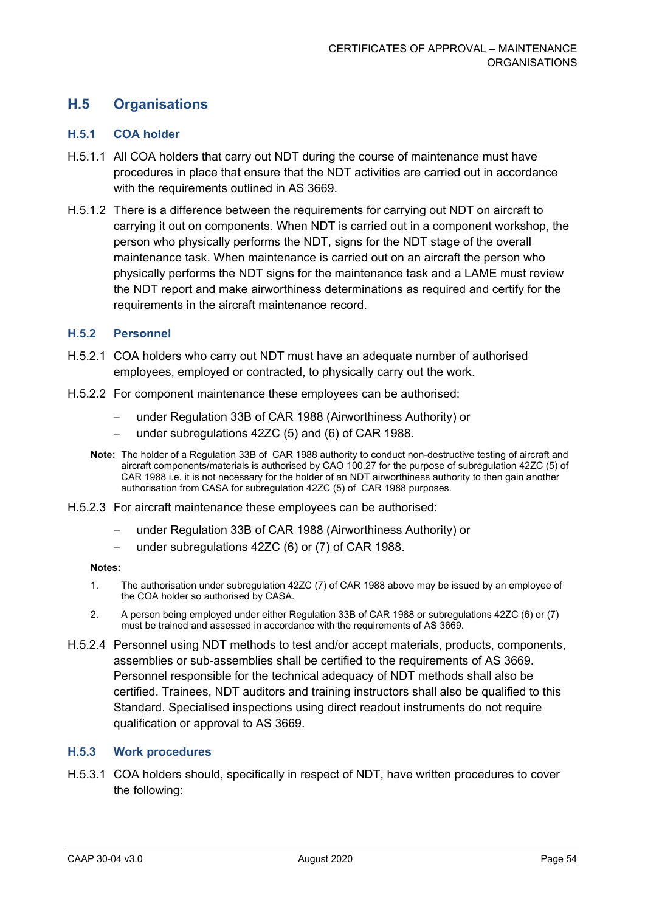# **H.5 Organisations**

#### **H.5.1 COA holder**

- H.5.1.1 All COA holders that carry out NDT during the course of maintenance must have procedures in place that ensure that the NDT activities are carried out in accordance with the requirements outlined in AS 3669.
- H.5.1.2 There is a difference between the requirements for carrying out NDT on aircraft to carrying it out on components. When NDT is carried out in a component workshop, the person who physically performs the NDT, signs for the NDT stage of the overall maintenance task. When maintenance is carried out on an aircraft the person who physically performs the NDT signs for the maintenance task and a LAME must review the NDT report and make airworthiness determinations as required and certify for the requirements in the aircraft maintenance record.

#### **H.5.2 Personnel**

- H.5.2.1 COA holders who carry out NDT must have an adequate number of authorised employees, employed or contracted, to physically carry out the work.
- H.5.2.2 For component maintenance these employees can be authorised:
	- under Regulation 33B of CAR 1988 (Airworthiness Authority) or
	- − under subregulations 42ZC (5) and (6) of CAR 1988.
	- **Note:** The holder of a Regulation 33B of CAR 1988 authority to conduct non-destructive testing of aircraft and aircraft components/materials is authorised by CAO 100.27 for the purpose of subregulation 42ZC (5) of CAR 1988 i.e. it is not necessary for the holder of an NDT airworthiness authority to then gain another authorisation from CASA for subregulation 42ZC (5) of CAR 1988 purposes.
- H.5.2.3 For aircraft maintenance these employees can be authorised:
	- under Regulation 33B of CAR 1988 (Airworthiness Authority) or
	- under subregulations 42ZC (6) or (7) of CAR 1988.

#### **Notes:**

- 1. The authorisation under subregulation 42ZC (7) of CAR 1988 above may be issued by an employee of the COA holder so authorised by CASA.
- 2. A person being employed under either Regulation 33B of CAR 1988 or subregulations 42ZC (6) or (7) must be trained and assessed in accordance with the requirements of AS 3669.
- H.5.2.4 Personnel using NDT methods to test and/or accept materials, products, components, assemblies or sub-assemblies shall be certified to the requirements of AS 3669. Personnel responsible for the technical adequacy of NDT methods shall also be certified. Trainees, NDT auditors and training instructors shall also be qualified to this Standard. Specialised inspections using direct readout instruments do not require qualification or approval to AS 3669.

#### **H.5.3 Work procedures**

H.5.3.1 COA holders should, specifically in respect of NDT, have written procedures to cover the following: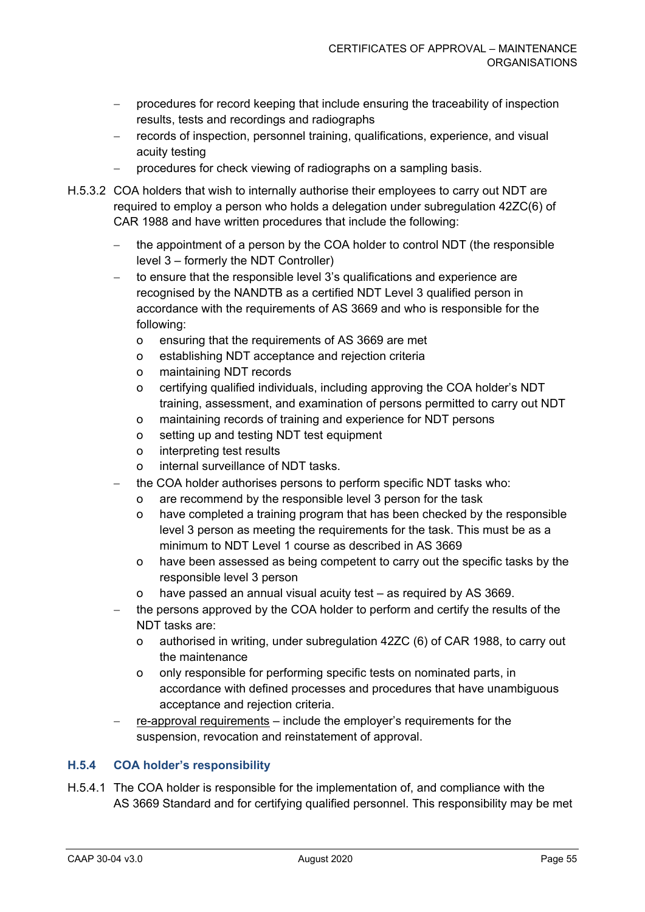- − procedures for record keeping that include ensuring the traceability of inspection results, tests and recordings and radiographs
- − records of inspection, personnel training, qualifications, experience, and visual acuity testing
- procedures for check viewing of radiographs on a sampling basis.
- H.5.3.2 COA holders that wish to internally authorise their employees to carry out NDT are required to employ a person who holds a delegation under subregulation 42ZC(6) of CAR 1988 and have written procedures that include the following:
	- − the appointment of a person by the COA holder to control NDT (the responsible level 3 – formerly the NDT Controller)
	- to ensure that the responsible level 3's qualifications and experience are recognised by the NANDTB as a certified NDT Level 3 qualified person in accordance with the requirements of AS 3669 and who is responsible for the following:
		- o ensuring that the requirements of AS 3669 are met
		- o establishing NDT acceptance and rejection criteria
		- o maintaining NDT records
		- o certifying qualified individuals, including approving the COA holder's NDT training, assessment, and examination of persons permitted to carry out NDT
		- o maintaining records of training and experience for NDT persons
		- o setting up and testing NDT test equipment
		- o interpreting test results
		- o internal surveillance of NDT tasks.
	- the COA holder authorises persons to perform specific NDT tasks who:
		- o are recommend by the responsible level 3 person for the task
		- o have completed a training program that has been checked by the responsible level 3 person as meeting the requirements for the task. This must be as a minimum to NDT Level 1 course as described in AS 3669
		- o have been assessed as being competent to carry out the specific tasks by the responsible level 3 person
		- o have passed an annual visual acuity test as required by AS 3669.
	- the persons approved by the COA holder to perform and certify the results of the NDT tasks are:
		- o authorised in writing, under subregulation 42ZC (6) of CAR 1988, to carry out the maintenance
		- o only responsible for performing specific tests on nominated parts, in accordance with defined processes and procedures that have unambiguous acceptance and rejection criteria.
	- re-approval requirements include the employer's requirements for the suspension, revocation and reinstatement of approval.

#### **H.5.4 COA holder's responsibility**

H.5.4.1 The COA holder is responsible for the implementation of, and compliance with the AS 3669 Standard and for certifying qualified personnel. This responsibility may be met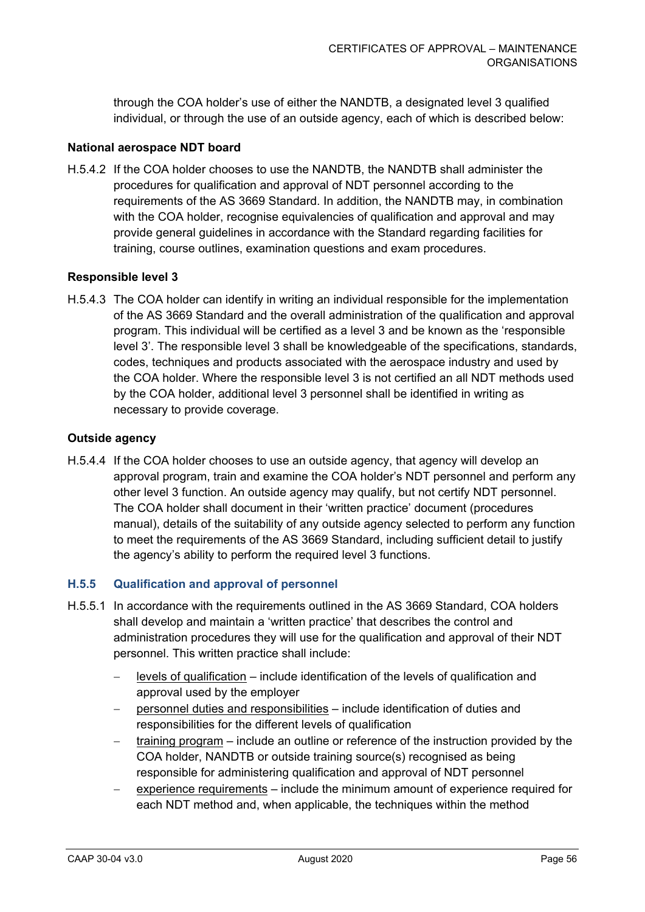through the COA holder's use of either the NANDTB, a designated level 3 qualified individual, or through the use of an outside agency, each of which is described below:

#### **National aerospace NDT board**

H.5.4.2 If the COA holder chooses to use the NANDTB, the NANDTB shall administer the procedures for qualification and approval of NDT personnel according to the requirements of the AS 3669 Standard. In addition, the NANDTB may, in combination with the COA holder, recognise equivalencies of qualification and approval and may provide general guidelines in accordance with the Standard regarding facilities for training, course outlines, examination questions and exam procedures.

#### **Responsible level 3**

H.5.4.3 The COA holder can identify in writing an individual responsible for the implementation of the AS 3669 Standard and the overall administration of the qualification and approval program. This individual will be certified as a level 3 and be known as the 'responsible level 3'. The responsible level 3 shall be knowledgeable of the specifications, standards, codes, techniques and products associated with the aerospace industry and used by the COA holder. Where the responsible level 3 is not certified an all NDT methods used by the COA holder, additional level 3 personnel shall be identified in writing as necessary to provide coverage.

#### **Outside agency**

H.5.4.4 If the COA holder chooses to use an outside agency, that agency will develop an approval program, train and examine the COA holder's NDT personnel and perform any other level 3 function. An outside agency may qualify, but not certify NDT personnel. The COA holder shall document in their 'written practice' document (procedures manual), details of the suitability of any outside agency selected to perform any function to meet the requirements of the AS 3669 Standard, including sufficient detail to justify the agency's ability to perform the required level 3 functions.

#### **H.5.5 Qualification and approval of personnel**

- H.5.5.1 In accordance with the requirements outlined in the AS 3669 Standard, COA holders shall develop and maintain a 'written practice' that describes the control and administration procedures they will use for the qualification and approval of their NDT personnel. This written practice shall include:
	- − levels of qualification include identification of the levels of qualification and approval used by the employer
	- − personnel duties and responsibilities include identification of duties and responsibilities for the different levels of qualification
	- training program include an outline or reference of the instruction provided by the COA holder, NANDTB or outside training source(s) recognised as being responsible for administering qualification and approval of NDT personnel
	- experience requirements include the minimum amount of experience required for each NDT method and, when applicable, the techniques within the method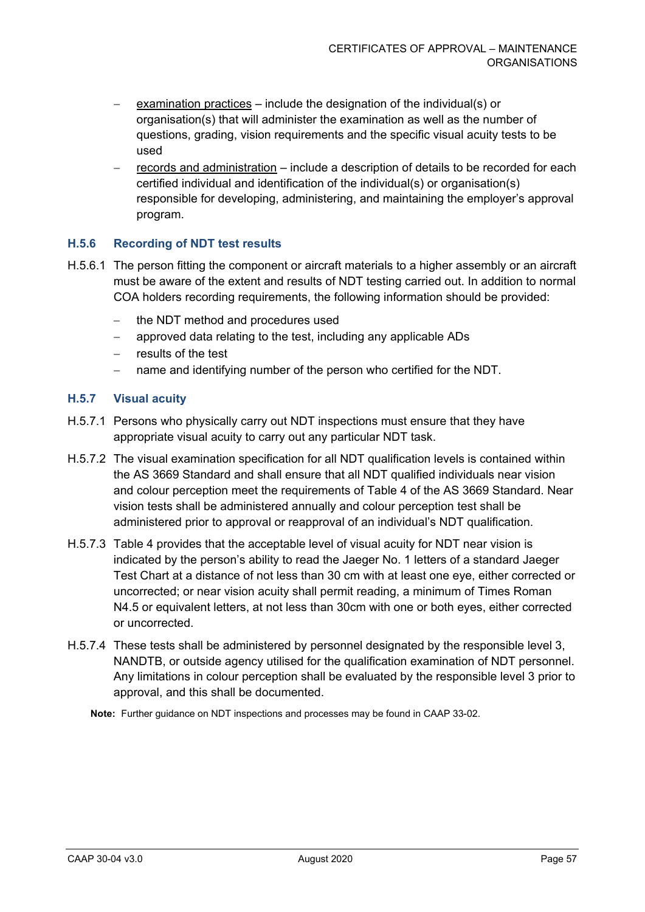- examination practices include the designation of the individual(s) or organisation(s) that will administer the examination as well as the number of questions, grading, vision requirements and the specific visual acuity tests to be used
- records and administration include a description of details to be recorded for each certified individual and identification of the individual(s) or organisation(s) responsible for developing, administering, and maintaining the employer's approval program.

#### **H.5.6 Recording of NDT test results**

- H.5.6.1 The person fitting the component or aircraft materials to a higher assembly or an aircraft must be aware of the extent and results of NDT testing carried out. In addition to normal COA holders recording requirements, the following information should be provided:
	- − the NDT method and procedures used
	- − approved data relating to the test, including any applicable ADs
	- results of the test
	- name and identifying number of the person who certified for the NDT.

#### **H.5.7 Visual acuity**

- H.5.7.1 Persons who physically carry out NDT inspections must ensure that they have appropriate visual acuity to carry out any particular NDT task.
- H.5.7.2 The visual examination specification for all NDT qualification levels is contained within the AS 3669 Standard and shall ensure that all NDT qualified individuals near vision and colour perception meet the requirements of Table 4 of the AS 3669 Standard. Near vision tests shall be administered annually and colour perception test shall be administered prior to approval or reapproval of an individual's NDT qualification.
- H.5.7.3 Table 4 provides that the acceptable level of visual acuity for NDT near vision is indicated by the person's ability to read the Jaeger No. 1 letters of a standard Jaeger Test Chart at a distance of not less than 30 cm with at least one eye, either corrected or uncorrected; or near vision acuity shall permit reading, a minimum of Times Roman N4.5 or equivalent letters, at not less than 30cm with one or both eyes, either corrected or uncorrected.
- H.5.7.4 These tests shall be administered by personnel designated by the responsible level 3, NANDTB, or outside agency utilised for the qualification examination of NDT personnel. Any limitations in colour perception shall be evaluated by the responsible level 3 prior to approval, and this shall be documented.

**Note:** Further guidance on NDT inspections and processes may be found in CAAP 33-02.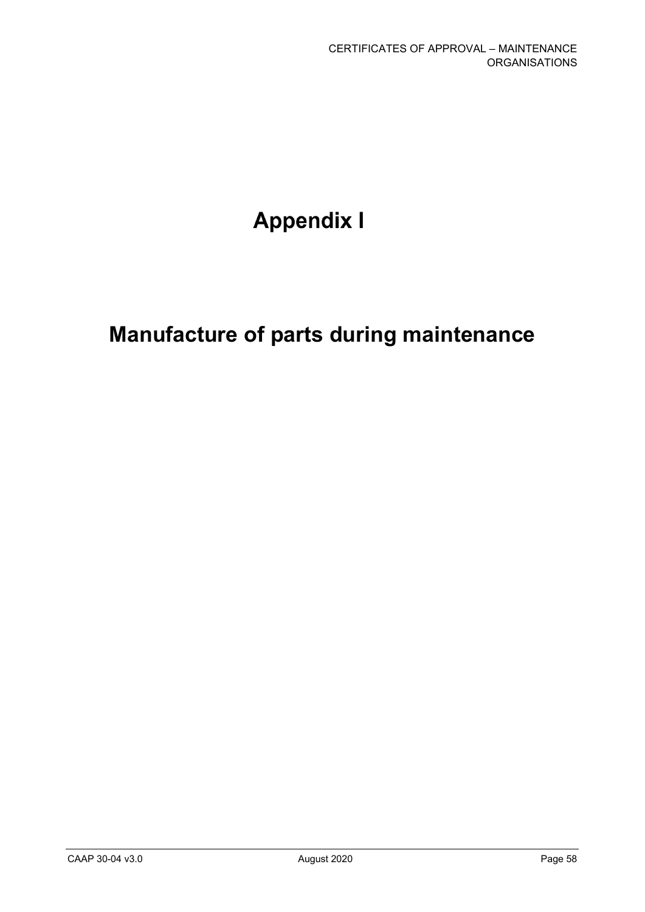# **Appendix I**

# **Manufacture of parts during maintenance**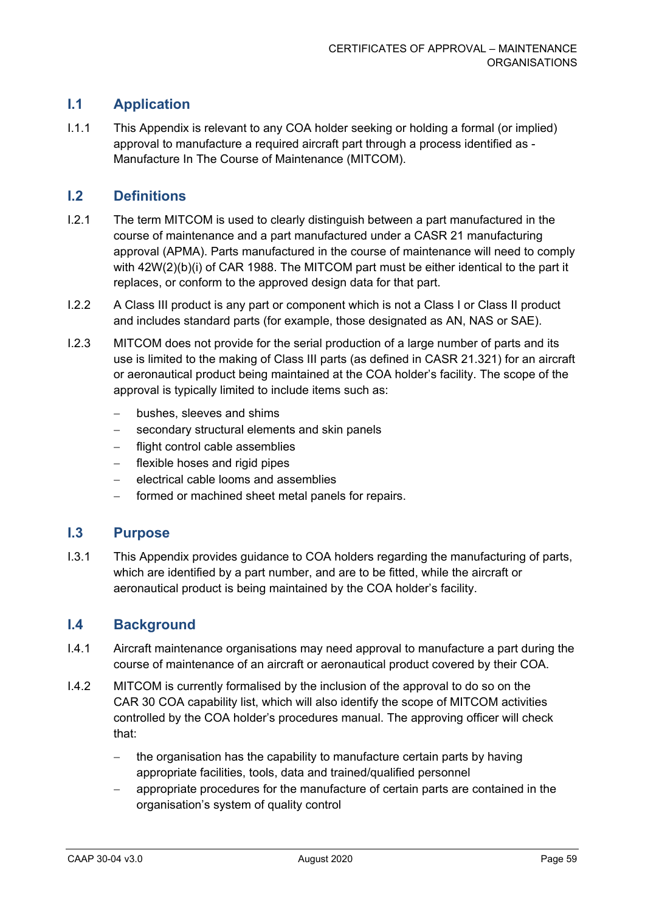# **I.1 Application**

I.1.1 This Appendix is relevant to any COA holder seeking or holding a formal (or implied) approval to manufacture a required aircraft part through a process identified as - Manufacture In The Course of Maintenance (MITCOM).

## **I.2 Definitions**

- I.2.1 The term MITCOM is used to clearly distinguish between a part manufactured in the course of maintenance and a part manufactured under a CASR 21 manufacturing approval (APMA). Parts manufactured in the course of maintenance will need to comply with 42W(2)(b)(i) of CAR 1988. The MITCOM part must be either identical to the part it replaces, or conform to the approved design data for that part.
- I.2.2 A Class III product is any part or component which is not a Class I or Class II product and includes standard parts (for example, those designated as AN, NAS or SAE).
- I.2.3 MITCOM does not provide for the serial production of a large number of parts and its use is limited to the making of Class III parts (as defined in CASR 21.321) for an aircraft or aeronautical product being maintained at the COA holder's facility. The scope of the approval is typically limited to include items such as:
	- − bushes, sleeves and shims
	- − secondary structural elements and skin panels
	- − flight control cable assemblies
	- flexible hoses and rigid pipes
	- − electrical cable looms and assemblies
	- formed or machined sheet metal panels for repairs.

#### **I.3 Purpose**

I.3.1 This Appendix provides guidance to COA holders regarding the manufacturing of parts, which are identified by a part number, and are to be fitted, while the aircraft or aeronautical product is being maintained by the COA holder's facility.

#### **I.4 Background**

- I.4.1 Aircraft maintenance organisations may need approval to manufacture a part during the course of maintenance of an aircraft or aeronautical product covered by their COA.
- I.4.2 MITCOM is currently formalised by the inclusion of the approval to do so on the CAR 30 COA capability list, which will also identify the scope of MITCOM activities controlled by the COA holder's procedures manual. The approving officer will check that:
	- the organisation has the capability to manufacture certain parts by having appropriate facilities, tools, data and trained/qualified personnel
	- appropriate procedures for the manufacture of certain parts are contained in the organisation's system of quality control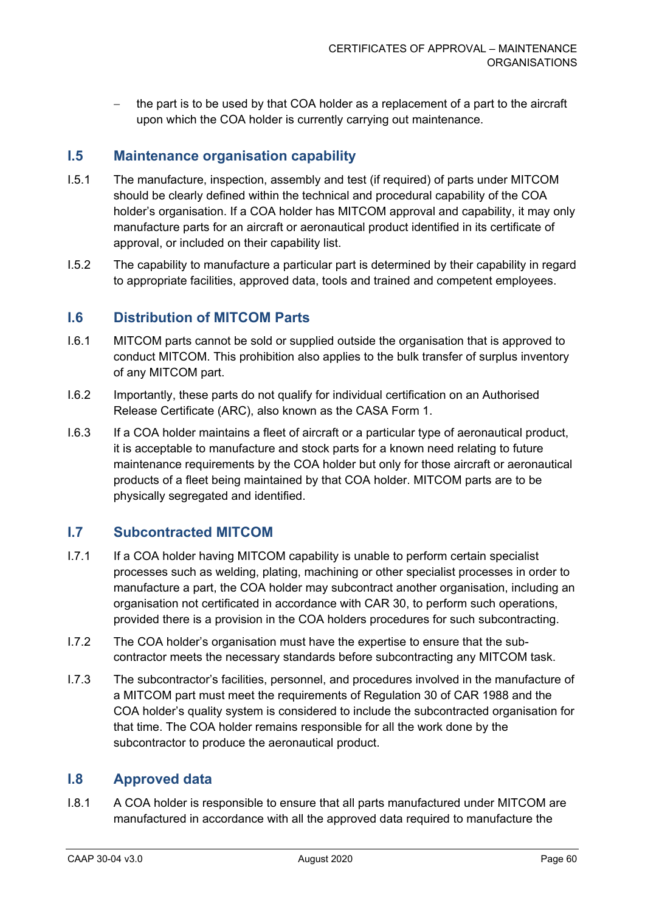the part is to be used by that COA holder as a replacement of a part to the aircraft upon which the COA holder is currently carrying out maintenance.

### **I.5 Maintenance organisation capability**

- I.5.1 The manufacture, inspection, assembly and test (if required) of parts under MITCOM should be clearly defined within the technical and procedural capability of the COA holder's organisation. If a COA holder has MITCOM approval and capability, it may only manufacture parts for an aircraft or aeronautical product identified in its certificate of approval, or included on their capability list.
- I.5.2 The capability to manufacture a particular part is determined by their capability in regard to appropriate facilities, approved data, tools and trained and competent employees.

#### **I.6 Distribution of MITCOM Parts**

- I.6.1 MITCOM parts cannot be sold or supplied outside the organisation that is approved to conduct MITCOM. This prohibition also applies to the bulk transfer of surplus inventory of any MITCOM part.
- I.6.2 Importantly, these parts do not qualify for individual certification on an Authorised Release Certificate (ARC), also known as the CASA Form 1.
- I.6.3 If a COA holder maintains a fleet of aircraft or a particular type of aeronautical product, it is acceptable to manufacture and stock parts for a known need relating to future maintenance requirements by the COA holder but only for those aircraft or aeronautical products of a fleet being maintained by that COA holder. MITCOM parts are to be physically segregated and identified.

## **I.7 Subcontracted MITCOM**

- I.7.1 If a COA holder having MITCOM capability is unable to perform certain specialist processes such as welding, plating, machining or other specialist processes in order to manufacture a part, the COA holder may subcontract another organisation, including an organisation not certificated in accordance with CAR 30, to perform such operations, provided there is a provision in the COA holders procedures for such subcontracting.
- I.7.2 The COA holder's organisation must have the expertise to ensure that the subcontractor meets the necessary standards before subcontracting any MITCOM task.
- I.7.3 The subcontractor's facilities, personnel, and procedures involved in the manufacture of a MITCOM part must meet the requirements of Regulation 30 of CAR 1988 and the COA holder's quality system is considered to include the subcontracted organisation for that time. The COA holder remains responsible for all the work done by the subcontractor to produce the aeronautical product.

### **I.8 Approved data**

I.8.1 A COA holder is responsible to ensure that all parts manufactured under MITCOM are manufactured in accordance with all the approved data required to manufacture the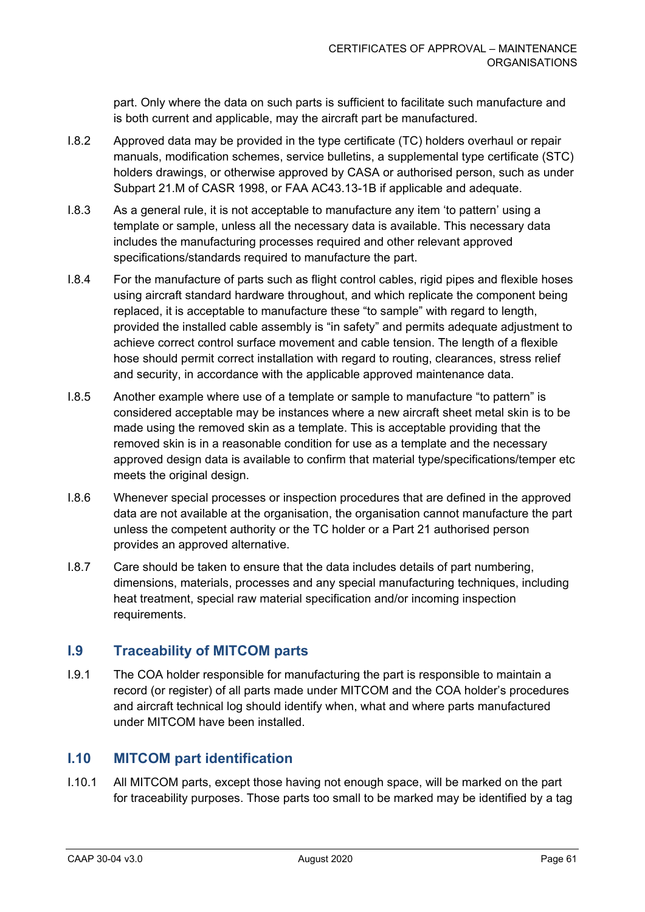part. Only where the data on such parts is sufficient to facilitate such manufacture and is both current and applicable, may the aircraft part be manufactured.

- I.8.2 Approved data may be provided in the type certificate (TC) holders overhaul or repair manuals, modification schemes, service bulletins, a supplemental type certificate (STC) holders drawings, or otherwise approved by CASA or authorised person, such as under Subpart 21.M of CASR 1998, or FAA AC43.13-1B if applicable and adequate.
- I.8.3 As a general rule, it is not acceptable to manufacture any item 'to pattern' using a template or sample, unless all the necessary data is available. This necessary data includes the manufacturing processes required and other relevant approved specifications/standards required to manufacture the part.
- I.8.4 For the manufacture of parts such as flight control cables, rigid pipes and flexible hoses using aircraft standard hardware throughout, and which replicate the component being replaced, it is acceptable to manufacture these "to sample" with regard to length, provided the installed cable assembly is "in safety" and permits adequate adjustment to achieve correct control surface movement and cable tension. The length of a flexible hose should permit correct installation with regard to routing, clearances, stress relief and security, in accordance with the applicable approved maintenance data.
- I.8.5 Another example where use of a template or sample to manufacture "to pattern" is considered acceptable may be instances where a new aircraft sheet metal skin is to be made using the removed skin as a template. This is acceptable providing that the removed skin is in a reasonable condition for use as a template and the necessary approved design data is available to confirm that material type/specifications/temper etc meets the original design.
- I.8.6 Whenever special processes or inspection procedures that are defined in the approved data are not available at the organisation, the organisation cannot manufacture the part unless the competent authority or the TC holder or a Part 21 authorised person provides an approved alternative.
- I.8.7 Care should be taken to ensure that the data includes details of part numbering, dimensions, materials, processes and any special manufacturing techniques, including heat treatment, special raw material specification and/or incoming inspection requirements.

# **I.9 Traceability of MITCOM parts**

I.9.1 The COA holder responsible for manufacturing the part is responsible to maintain a record (or register) of all parts made under MITCOM and the COA holder's procedures and aircraft technical log should identify when, what and where parts manufactured under MITCOM have been installed.

## **I.10 MITCOM part identification**

I.10.1 All MITCOM parts, except those having not enough space, will be marked on the part for traceability purposes. Those parts too small to be marked may be identified by a tag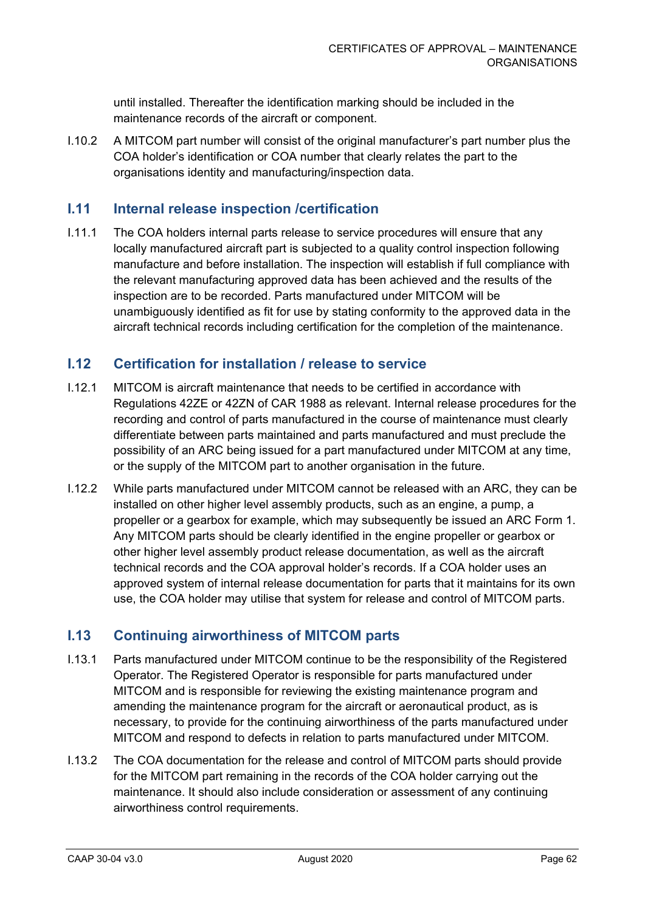until installed. Thereafter the identification marking should be included in the maintenance records of the aircraft or component.

I.10.2 A MITCOM part number will consist of the original manufacturer's part number plus the COA holder's identification or COA number that clearly relates the part to the organisations identity and manufacturing/inspection data.

### **I.11 Internal release inspection /certification**

I.11.1 The COA holders internal parts release to service procedures will ensure that any locally manufactured aircraft part is subjected to a quality control inspection following manufacture and before installation. The inspection will establish if full compliance with the relevant manufacturing approved data has been achieved and the results of the inspection are to be recorded. Parts manufactured under MITCOM will be unambiguously identified as fit for use by stating conformity to the approved data in the aircraft technical records including certification for the completion of the maintenance.

#### **I.12 Certification for installation / release to service**

- I.12.1 MITCOM is aircraft maintenance that needs to be certified in accordance with Regulations 42ZE or 42ZN of CAR 1988 as relevant. Internal release procedures for the recording and control of parts manufactured in the course of maintenance must clearly differentiate between parts maintained and parts manufactured and must preclude the possibility of an ARC being issued for a part manufactured under MITCOM at any time, or the supply of the MITCOM part to another organisation in the future.
- I.12.2 While parts manufactured under MITCOM cannot be released with an ARC, they can be installed on other higher level assembly products, such as an engine, a pump, a propeller or a gearbox for example, which may subsequently be issued an ARC Form 1. Any MITCOM parts should be clearly identified in the engine propeller or gearbox or other higher level assembly product release documentation, as well as the aircraft technical records and the COA approval holder's records. If a COA holder uses an approved system of internal release documentation for parts that it maintains for its own use, the COA holder may utilise that system for release and control of MITCOM parts.

#### **I.13 Continuing airworthiness of MITCOM parts**

- I.13.1 Parts manufactured under MITCOM continue to be the responsibility of the Registered Operator. The Registered Operator is responsible for parts manufactured under MITCOM and is responsible for reviewing the existing maintenance program and amending the maintenance program for the aircraft or aeronautical product, as is necessary, to provide for the continuing airworthiness of the parts manufactured under MITCOM and respond to defects in relation to parts manufactured under MITCOM.
- I.13.2 The COA documentation for the release and control of MITCOM parts should provide for the MITCOM part remaining in the records of the COA holder carrying out the maintenance. It should also include consideration or assessment of any continuing airworthiness control requirements.